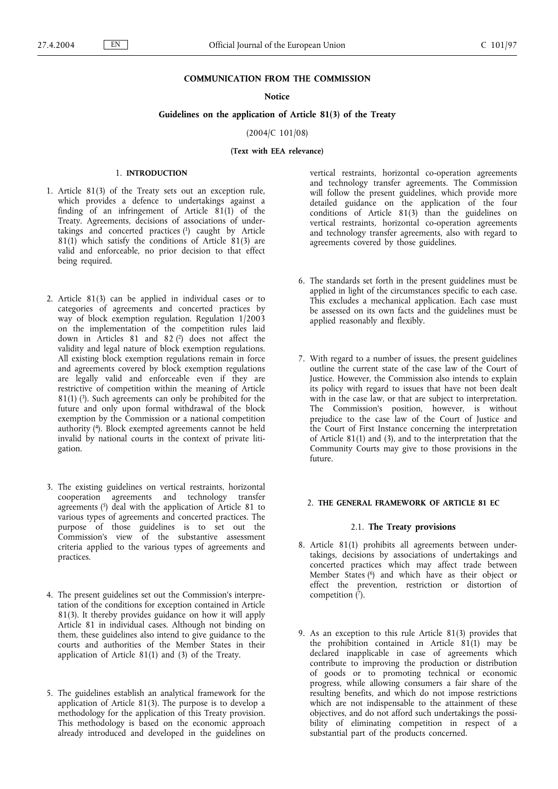#### **COMMUNICATION FROM THE COMMISSION**

#### **Notice**

#### **Guidelines on the application of Article 81(3) of the Treaty**

(2004/C 101/08)

**(Text with EEA relevance)**

## 1. **INTRODUCTION**

- 1. Article 81(3) of the Treaty sets out an exception rule, which provides a defence to undertakings against a finding of an infringement of Article  $\frac{81(1)}{10}$  of the Treaty. Agreements, decisions of associations of undertakings and concerted practices (1) caught by Article 81(1) which satisfy the conditions of Article 81(3) are valid and enforceable, no prior decision to that effect being required.
- 2. Article 81(3) can be applied in individual cases or to categories of agreements and concerted practices by way of block exemption regulation. Regulation 1/2003 on the implementation of the competition rules laid down in Articles 81 and 82 $(2)$  does not affect the validity and legal nature of block exemption regulations. All existing block exemption regulations remain in force and agreements covered by block exemption regulations are legally valid and enforceable even if they are restrictive of competition within the meaning of Article  $81(1)$  (3). Such agreements can only be prohibited for the future and only upon formal withdrawal of the block exemption by the Commission or a national competition authority (4). Block exempted agreements cannot be held invalid by national courts in the context of private litigation.
- 3. The existing guidelines on vertical restraints, horizontal cooperation agreements and technology transfer agreements (5) deal with the application of Article 81 to various types of agreements and concerted practices. The purpose of those guidelines is to set out the Commission's view of the substantive assessment criteria applied to the various types of agreements and practices.
- 4. The present guidelines set out the Commission's interpretation of the conditions for exception contained in Article 81(3). It thereby provides guidance on how it will apply Article 81 in individual cases. Although not binding on them, these guidelines also intend to give guidance to the courts and authorities of the Member States in their application of Article 81(1) and (3) of the Treaty.
- 5. The guidelines establish an analytical framework for the application of Article 81(3). The purpose is to develop a methodology for the application of this Treaty provision. This methodology is based on the economic approach already introduced and developed in the guidelines on

vertical restraints, horizontal co-operation agreements and technology transfer agreements. The Commission will follow the present guidelines, which provide more detailed guidance on the application of the four conditions of Article 81(3) than the guidelines on vertical restraints, horizontal co-operation agreements and technology transfer agreements, also with regard to agreements covered by those guidelines.

- 6. The standards set forth in the present guidelines must be applied in light of the circumstances specific to each case. This excludes a mechanical application. Each case must be assessed on its own facts and the guidelines must be applied reasonably and flexibly.
- 7. With regard to a number of issues, the present guidelines outline the current state of the case law of the Court of Justice. However, the Commission also intends to explain its policy with regard to issues that have not been dealt with in the case law, or that are subject to interpretation. The Commission's position, however, is without prejudice to the case law of the Court of Justice and the Court of First Instance concerning the interpretation of Article 81(1) and (3), and to the interpretation that the Community Courts may give to those provisions in the future.

## 2. **THE GENERAL FRAMEWORK OF ARTICLE 81 EC**

# 2.1. **The Treaty provisions**

- 8. Article 81(1) prohibits all agreements between undertakings, decisions by associations of undertakings and concerted practices which may affect trade between Member States (<sup>6</sup>) and which have as their object or effect the prevention, restriction or distortion of competition  $(\bar{7})$ .
- 9. As an exception to this rule Article 81(3) provides that the prohibition contained in Article 81(1) may be declared inapplicable in case of agreements which contribute to improving the production or distribution of goods or to promoting technical or economic progress, while allowing consumers a fair share of the resulting benefits, and which do not impose restrictions which are not indispensable to the attainment of these objectives, and do not afford such undertakings the possibility of eliminating competition in respect of a substantial part of the products concerned.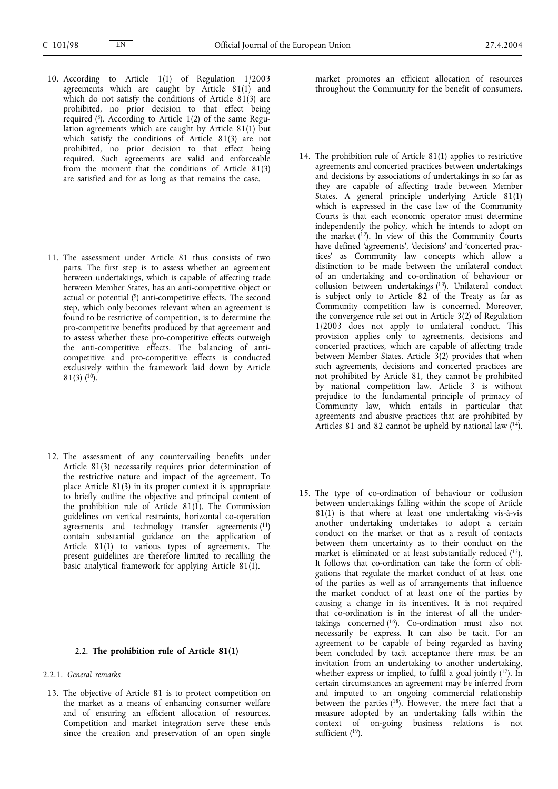- 10. According to Article 1(1) of Regulation 1/2003 agreements which are caught by Article 81(1) and which do not satisfy the conditions of Article 81(3) are prohibited, no prior decision to that effect being required  $(^{8})$ . According to Article 1(2) of the same Regulation agreements which are caught by Article 81(1) but which satisfy the conditions of Article 81(3) are not prohibited, no prior decision to that effect being required. Such agreements are valid and enforceable from the moment that the conditions of Article 81(3) are satisfied and for as long as that remains the case.
- 11. The assessment under Article 81 thus consists of two parts. The first step is to assess whether an agreement between undertakings, which is capable of affecting trade between Member States, has an anti-competitive object or actual or potential (9) anti-competitive effects. The second step, which only becomes relevant when an agreement is found to be restrictive of competition, is to determine the pro-competitive benefits produced by that agreement and to assess whether these pro-competitive effects outweigh the anti-competitive effects. The balancing of anticompetitive and pro-competitive effects is conducted exclusively within the framework laid down by Article 81(3) (10).
- 12. The assessment of any countervailing benefits under Article 81(3) necessarily requires prior determination of the restrictive nature and impact of the agreement. To place Article 81(3) in its proper context it is appropriate to briefly outline the objective and principal content of the prohibition rule of Article 81(1). The Commission guidelines on vertical restraints, horizontal co-operation agreements and technology transfer agreements (11) contain substantial guidance on the application of Article 81(1) to various types of agreements. The present guidelines are therefore limited to recalling the basic analytical framework for applying Article 81(1).

## 2.2. **The prohibition rule of Article 81(1)**

2.2.1. *General remarks*

13. The objective of Article 81 is to protect competition on the market as a means of enhancing consumer welfare and of ensuring an efficient allocation of resources. Competition and market integration serve these ends since the creation and preservation of an open single market promotes an efficient allocation of resources throughout the Community for the benefit of consumers.

- 14. The prohibition rule of Article 81(1) applies to restrictive agreements and concerted practices between undertakings and decisions by associations of undertakings in so far as they are capable of affecting trade between Member States. A general principle underlying Article 81(1) which is expressed in the case law of the Community Courts is that each economic operator must determine independently the policy, which he intends to adopt on the market  $(12)$ . In view of this the Community Courts have defined 'agreements', 'decisions' and 'concerted practices' as Community law concepts which allow a distinction to be made between the unilateral conduct of an undertaking and co-ordination of behaviour or collusion between undertakings (13). Unilateral conduct is subject only to Article 82 of the Treaty as far as Community competition law is concerned. Moreover, the convergence rule set out in Article 3(2) of Regulation 1/2003 does not apply to unilateral conduct. This provision applies only to agreements, decisions and concerted practices, which are capable of affecting trade between Member States. Article  $3(2)$  provides that when such agreements, decisions and concerted practices are not prohibited by Article 81, they cannot be prohibited by national competition law. Article 3 is without prejudice to the fundamental principle of primacy of Community law, which entails in particular that agreements and abusive practices that are prohibited by Articles 81 and 82 cannot be upheld by national law  $(14)$ .
- 15. The type of co-ordination of behaviour or collusion between undertakings falling within the scope of Article 81(1) is that where at least one undertaking vis-à-vis another undertaking undertakes to adopt a certain conduct on the market or that as a result of contacts between them uncertainty as to their conduct on the market is eliminated or at least substantially reduced  $(15)$ . It follows that co-ordination can take the form of obligations that regulate the market conduct of at least one of the parties as well as of arrangements that influence the market conduct of at least one of the parties by causing a change in its incentives. It is not required that co-ordination is in the interest of all the undertakings concerned (16). Co-ordination must also not necessarily be express. It can also be tacit. For an agreement to be capable of being regarded as having been concluded by tacit acceptance there must be an invitation from an undertaking to another undertaking, whether express or implied, to fulfil a goal jointly  $(17)$ . In certain circumstances an agreement may be inferred from and imputed to an ongoing commercial relationship between the parties  $(18)$ . However, the mere fact that a measure adopted by an undertaking falls within the context of on-going business relations is not sufficient  $(19)$ .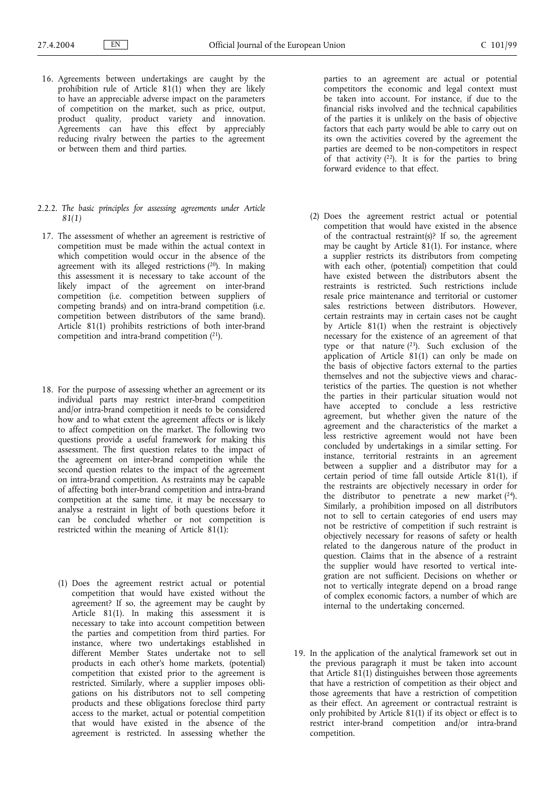- 16. Agreements between undertakings are caught by the prohibition rule of Article 81(1) when they are likely to have an appreciable adverse impact on the parameters of competition on the market, such as price, output, product quality, product variety and innovation. Agreements can have this effect by appreciably reducing rivalry between the parties to the agreement or between them and third parties.
- 2.2.2. *The basic principles for assessing agreements under Article 81(1)*
- 17. The assessment of whether an agreement is restrictive of competition must be made within the actual context in which competition would occur in the absence of the agreement with its alleged restrictions  $(20)$ . In making this assessment it is necessary to take account of the likely impact of the agreement on inter-brand competition (i.e. competition between suppliers of competing brands) and on intra-brand competition (i.e. competition between distributors of the same brand). Article 81(1) prohibits restrictions of both inter-brand competition and intra-brand competition (21).
- 18. For the purpose of assessing whether an agreement or its individual parts may restrict inter-brand competition and/or intra-brand competition it needs to be considered how and to what extent the agreement affects or is likely to affect competition on the market. The following two questions provide a useful framework for making this assessment. The first question relates to the impact of the agreement on inter-brand competition while the second question relates to the impact of the agreement on intra-brand competition. As restraints may be capable of affecting both inter-brand competition and intra-brand competition at the same time, it may be necessary to analyse a restraint in light of both questions before it can be concluded whether or not competition is restricted within the meaning of Article  $81(1)$ :
	- (1) Does the agreement restrict actual or potential competition that would have existed without the agreement? If so, the agreement may be caught by Article 81(1). In making this assessment it is necessary to take into account competition between the parties and competition from third parties. For instance, where two undertakings established in different Member States undertake not to sell products in each other's home markets, (potential) competition that existed prior to the agreement is restricted. Similarly, where a supplier imposes obligations on his distributors not to sell competing products and these obligations foreclose third party access to the market, actual or potential competition that would have existed in the absence of the agreement is restricted. In assessing whether the

parties to an agreement are actual or potential competitors the economic and legal context must be taken into account. For instance, if due to the financial risks involved and the technical capabilities of the parties it is unlikely on the basis of objective factors that each party would be able to carry out on its own the activities covered by the agreement the parties are deemed to be non-competitors in respect of that activity  $(2^2)$ . It is for the parties to bring forward evidence to that effect.

- (2) Does the agreement restrict actual or potential competition that would have existed in the absence of the contractual restraint(s)? If so, the agreement may be caught by Article 81(1). For instance, where a supplier restricts its distributors from competing with each other, (potential) competition that could have existed between the distributors absent the restraints is restricted. Such restrictions include resale price maintenance and territorial or customer sales restrictions between distributors. However, certain restraints may in certain cases not be caught by Article 81(1) when the restraint is objectively necessary for the existence of an agreement of that type or that nature  $(2^3)$ . Such exclusion of the application of Article 81(1) can only be made on the basis of objective factors external to the parties themselves and not the subjective views and characteristics of the parties. The question is not whether the parties in their particular situation would not have accepted to conclude a less restrictive agreement, but whether given the nature of the agreement and the characteristics of the market a less restrictive agreement would not have been concluded by undertakings in a similar setting. For instance, territorial restraints in an agreement between a supplier and a distributor may for a certain period of time fall outside Article 81(1), if the restraints are objectively necessary in order for the distributor to penetrate a new market  $(24)$ . Similarly, a prohibition imposed on all distributors not to sell to certain categories of end users may not be restrictive of competition if such restraint is objectively necessary for reasons of safety or health related to the dangerous nature of the product in question. Claims that in the absence of a restraint the supplier would have resorted to vertical integration are not sufficient. Decisions on whether or not to vertically integrate depend on a broad range of complex economic factors, a number of which are internal to the undertaking concerned.
- 19. In the application of the analytical framework set out in the previous paragraph it must be taken into account that Article 81(1) distinguishes between those agreements that have a restriction of competition as their object and those agreements that have a restriction of competition as their effect. An agreement or contractual restraint is only prohibited by Article 81(1) if its object or effect is to restrict inter-brand competition and/or intra-brand competition.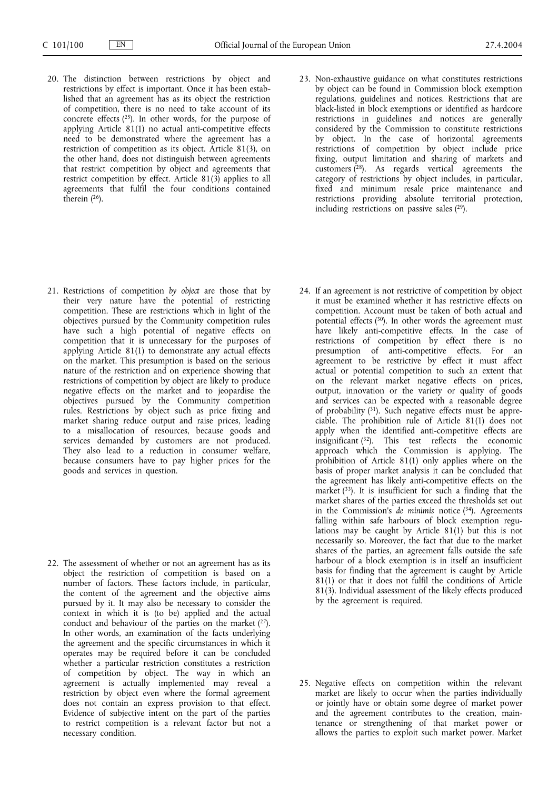20. The distinction between restrictions by object and restrictions by effect is important. Once it has been established that an agreement has as its object the restriction of competition, there is no need to take account of its concrete effects  $(2^5)$ . In other words, for the purpose of applying Article 81(1) no actual anti-competitive effects need to be demonstrated where the agreement has a restriction of competition as its object. Article 81(3), on the other hand, does not distinguish between agreements that restrict competition by object and agreements that restrict competition by effect. Article 81(3) applies to all agreements that fulfil the four conditions contained therein  $(26)$ .

21. Restrictions of competition *by object* are those that by their very nature have the potential of restricting competition. These are restrictions which in light of the objectives pursued by the Community competition rules have such a high potential of negative effects on competition that it is unnecessary for the purposes of applying Article 81(1) to demonstrate any actual effects on the market. This presumption is based on the serious nature of the restriction and on experience showing that restrictions of competition by object are likely to produce negative effects on the market and to jeopardise the objectives pursued by the Community competition rules. Restrictions by object such as price fixing and market sharing reduce output and raise prices, leading to a misallocation of resources, because goods and services demanded by customers are not produced. They also lead to a reduction in consumer welfare, because consumers have to pay higher prices for the goods and services in question.

22. The assessment of whether or not an agreement has as its object the restriction of competition is based on a number of factors. These factors include, in particular, the content of the agreement and the objective aims pursued by it. It may also be necessary to consider the context in which it is (to be) applied and the actual conduct and behaviour of the parties on the market  $(2^7)$ . In other words, an examination of the facts underlying the agreement and the specific circumstances in which it operates may be required before it can be concluded whether a particular restriction constitutes a restriction of competition by object. The way in which an agreement is actually implemented may reveal a restriction by object even where the formal agreement does not contain an express provision to that effect. Evidence of subjective intent on the part of the parties to restrict competition is a relevant factor but not a necessary condition.

- 23. Non-exhaustive guidance on what constitutes restrictions by object can be found in Commission block exemption regulations, guidelines and notices. Restrictions that are black-listed in block exemptions or identified as hardcore restrictions in guidelines and notices are generally considered by the Commission to constitute restrictions by object. In the case of horizontal agreements restrictions of competition by object include price fixing, output limitation and sharing of markets and customers  $(28)$ . As regards vertical agreements the category of restrictions by object includes, in particular, fixed and minimum resale price maintenance and restrictions providing absolute territorial protection, including restrictions on passive sales  $(29)$ .
- 24. If an agreement is not restrictive of competition by object it must be examined whether it has restrictive effects on competition. Account must be taken of both actual and potential effects (30). In other words the agreement must have likely anti-competitive effects. In the case of restrictions of competition by effect there is no presumption of anti-competitive effects. For an agreement to be restrictive by effect it must affect actual or potential competition to such an extent that on the relevant market negative effects on prices, output, innovation or the variety or quality of goods and services can be expected with a reasonable degree of probability (31). Such negative effects must be appreciable. The prohibition rule of Article 81(1) does not apply when the identified anti-competitive effects are insignificant (32). This test reflects the economic approach which the Commission is applying. The prohibition of Article 81(1) only applies where on the basis of proper market analysis it can be concluded that the agreement has likely anti-competitive effects on the market (33). It is insufficient for such a finding that the market shares of the parties exceed the thresholds set out in the Commission's *de minimis* notice (34). Agreements falling within safe harbours of block exemption regulations may be caught by Article  $81(1)$  but this is not necessarily so. Moreover, the fact that due to the market shares of the parties, an agreement falls outside the safe harbour of a block exemption is in itself an insufficient basis for finding that the agreement is caught by Article 81(1) or that it does not fulfil the conditions of Article 81(3). Individual assessment of the likely effects produced by the agreement is required.
- 25. Negative effects on competition within the relevant market are likely to occur when the parties individually or jointly have or obtain some degree of market power and the agreement contributes to the creation, maintenance or strengthening of that market power or allows the parties to exploit such market power. Market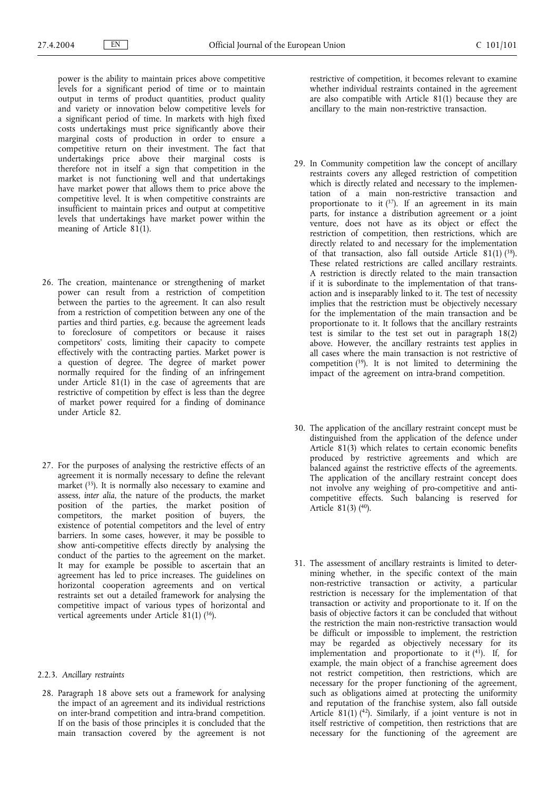power is the ability to maintain prices above competitive levels for a significant period of time or to maintain output in terms of product quantities, product quality and variety or innovation below competitive levels for a significant period of time. In markets with high fixed costs undertakings must price significantly above their marginal costs of production in order to ensure a competitive return on their investment. The fact that undertakings price above their marginal costs is therefore not in itself a sign that competition in the market is not functioning well and that undertakings have market power that allows them to price above the competitive level. It is when competitive constraints are insufficient to maintain prices and output at competitive levels that undertakings have market power within the meaning of Article 81(1).

- 26. The creation, maintenance or strengthening of market power can result from a restriction of competition between the parties to the agreement. It can also result from a restriction of competition between any one of the parties and third parties, e.g. because the agreement leads to foreclosure of competitors or because it raises competitors' costs, limiting their capacity to compete effectively with the contracting parties. Market power is a question of degree. The degree of market power normally required for the finding of an infringement under Article 81(1) in the case of agreements that are restrictive of competition by effect is less than the degree of market power required for a finding of dominance under Article 82.
- 27. For the purposes of analysing the restrictive effects of an agreement it is normally necessary to define the relevant market  $(35)$ . It is normally also necessary to examine and assess, *inter alia*, the nature of the products, the market position of the parties, the market position of competitors, the market position of buyers, the existence of potential competitors and the level of entry barriers. In some cases, however, it may be possible to show anti-competitive effects directly by analysing the conduct of the parties to the agreement on the market. It may for example be possible to ascertain that an agreement has led to price increases. The guidelines on horizontal cooperation agreements and on vertical restraints set out a detailed framework for analysing the competitive impact of various types of horizontal and vertical agreements under Article 81(1) (36).

#### 2.2.3. *Ancillary restraints*

28. Paragraph 18 above sets out a framework for analysing the impact of an agreement and its individual restrictions on inter-brand competition and intra-brand competition. If on the basis of those principles it is concluded that the main transaction covered by the agreement is not

restrictive of competition, it becomes relevant to examine whether individual restraints contained in the agreement are also compatible with Article 81(1) because they are ancillary to the main non-restrictive transaction.

- 29. In Community competition law the concept of ancillary restraints covers any alleged restriction of competition which is directly related and necessary to the implementation of a main non-restrictive transaction and proportionate to it  $(3^7)$ . If an agreement in its main parts, for instance a distribution agreement or a joint venture, does not have as its object or effect the restriction of competition, then restrictions, which are directly related to and necessary for the implementation of that transaction, also fall outside Article 81(1)  $(38)$ . These related restrictions are called ancillary restraints. A restriction is directly related to the main transaction if it is subordinate to the implementation of that transaction and is inseparably linked to it. The test of necessity implies that the restriction must be objectively necessary for the implementation of the main transaction and be proportionate to it. It follows that the ancillary restraints test is similar to the test set out in paragraph 18(2) above. However, the ancillary restraints test applies in all cases where the main transaction is not restrictive of competition (39). It is not limited to determining the impact of the agreement on intra-brand competition.
- 30. The application of the ancillary restraint concept must be distinguished from the application of the defence under Article 81(3) which relates to certain economic benefits produced by restrictive agreements and which are balanced against the restrictive effects of the agreements. The application of the ancillary restraint concept does not involve any weighing of pro-competitive and anticompetitive effects. Such balancing is reserved for Article 81(3) (40).
- 31. The assessment of ancillary restraints is limited to determining whether, in the specific context of the main non-restrictive transaction or activity, a particular restriction is necessary for the implementation of that transaction or activity and proportionate to it. If on the basis of objective factors it can be concluded that without the restriction the main non-restrictive transaction would be difficult or impossible to implement, the restriction may be regarded as objectively necessary for its implementation and proportionate to it  $(4)$ . If, for example, the main object of a franchise agreement does not restrict competition, then restrictions, which are necessary for the proper functioning of the agreement, such as obligations aimed at protecting the uniformity and reputation of the franchise system, also fall outside Article  $81(1)$  (<sup>42</sup>). Similarly, if a joint venture is not in itself restrictive of competition, then restrictions that are necessary for the functioning of the agreement are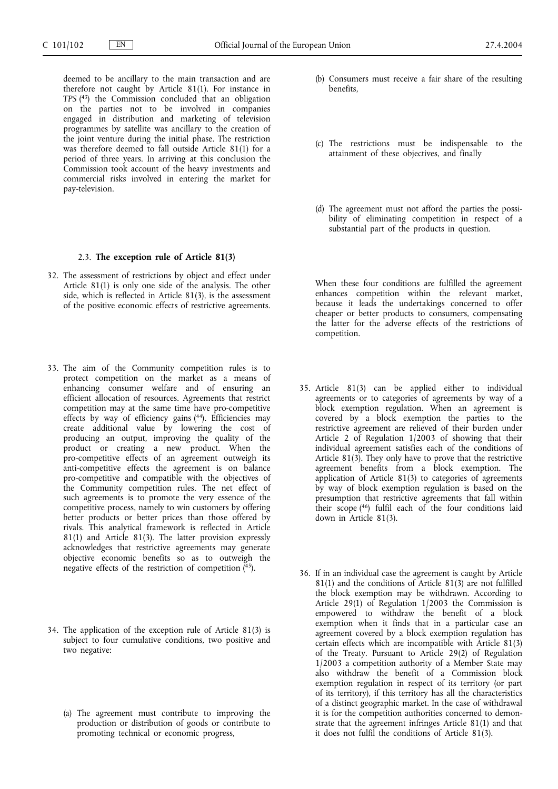deemed to be ancillary to the main transaction and are therefore not caught by Article 81(1). For instance in *TPS* ( 43) the Commission concluded that an obligation on the parties not to be involved in companies engaged in distribution and marketing of television programmes by satellite was ancillary to the creation of the joint venture during the initial phase. The restriction was therefore deemed to fall outside Article 81(1) for a period of three years. In arriving at this conclusion the Commission took account of the heavy investments and commercial risks involved in entering the market for pay-television.

### 2.3. **The exception rule of Article 81(3)**

- 32. The assessment of restrictions by object and effect under Article 81(1) is only one side of the analysis. The other side, which is reflected in Article 81(3), is the assessment of the positive economic effects of restrictive agreements.
- 33. The aim of the Community competition rules is to protect competition on the market as a means of enhancing consumer welfare and of ensuring an efficient allocation of resources. Agreements that restrict competition may at the same time have pro-competitive effects by way of efficiency gains (44). Efficiencies may create additional value by lowering the cost of producing an output, improving the quality of the product or creating a new product. When the pro-competitive effects of an agreement outweigh its anti-competitive effects the agreement is on balance pro-competitive and compatible with the objectives of the Community competition rules. The net effect of such agreements is to promote the very essence of the competitive process, namely to win customers by offering better products or better prices than those offered by rivals. This analytical framework is reflected in Article 81(1) and Article 81(3). The latter provision expressly acknowledges that restrictive agreements may generate objective economic benefits so as to outweigh the negative effects of the restriction of competition  $(45)$ .
- 34. The application of the exception rule of Article 81(3) is subject to four cumulative conditions, two positive and two negative:
	- (a) The agreement must contribute to improving the production or distribution of goods or contribute to promoting technical or economic progress,
- (b) Consumers must receive a fair share of the resulting benefits,
- (c) The restrictions must be indispensable to the attainment of these objectives, and finally
- (d) The agreement must not afford the parties the possibility of eliminating competition in respect of a substantial part of the products in question.

When these four conditions are fulfilled the agreement enhances competition within the relevant market, because it leads the undertakings concerned to offer cheaper or better products to consumers, compensating the latter for the adverse effects of the restrictions of competition.

- 35. Article 81(3) can be applied either to individual agreements or to categories of agreements by way of a block exemption regulation. When an agreement is covered by a block exemption the parties to the restrictive agreement are relieved of their burden under Article 2 of Regulation 1/2003 of showing that their individual agreement satisfies each of the conditions of Article 81(3). They only have to prove that the restrictive agreement benefits from a block exemption. The application of Article 81(3) to categories of agreements by way of block exemption regulation is based on the presumption that restrictive agreements that fall within their scope (46) fulfil each of the four conditions laid down in Article 81(3).
- 36. If in an individual case the agreement is caught by Article 81(1) and the conditions of Article 81(3) are not fulfilled the block exemption may be withdrawn. According to Article 29(1) of Regulation 1/2003 the Commission is empowered to withdraw the benefit of a block exemption when it finds that in a particular case an agreement covered by a block exemption regulation has certain effects which are incompatible with Article 81(3) of the Treaty. Pursuant to Article 29(2) of Regulation 1/2003 a competition authority of a Member State may also withdraw the benefit of a Commission block exemption regulation in respect of its territory (or part of its territory), if this territory has all the characteristics of a distinct geographic market. In the case of withdrawal it is for the competition authorities concerned to demonstrate that the agreement infringes Article 81(1) and that it does not fulfil the conditions of Article 81(3).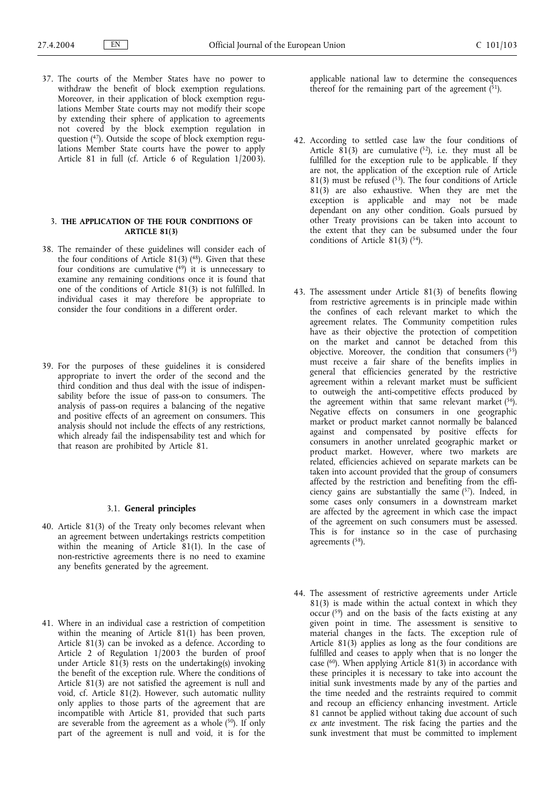37. The courts of the Member States have no power to withdraw the benefit of block exemption regulations. Moreover, in their application of block exemption regulations Member State courts may not modify their scope by extending their sphere of application to agreements not covered by the block exemption regulation in question  $(47)$ . Outside the scope of block exemption regulations Member State courts have the power to apply Article 81 in full (cf. Article 6 of Regulation 1/2003).

# 3. **THE APPLICATION OF THE FOUR CONDITIONS OF ARTICLE 81(3)**

- 38. The remainder of these guidelines will consider each of the four conditions of Article 81(3)  $(48)$ . Given that these four conditions are cumulative  $(49)$  it is unnecessary to examine any remaining conditions once it is found that one of the conditions of Article 81(3) is not fulfilled. In individual cases it may therefore be appropriate to consider the four conditions in a different order.
- 39. For the purposes of these guidelines it is considered appropriate to invert the order of the second and the third condition and thus deal with the issue of indispensability before the issue of pass-on to consumers. The analysis of pass-on requires a balancing of the negative and positive effects of an agreement on consumers. This analysis should not include the effects of any restrictions, which already fail the indispensability test and which for that reason are prohibited by Article 81.

## 3.1. **General principles**

- 40. Article 81(3) of the Treaty only becomes relevant when an agreement between undertakings restricts competition within the meaning of Article 81(1). In the case of non-restrictive agreements there is no need to examine any benefits generated by the agreement.
- 41. Where in an individual case a restriction of competition within the meaning of Article 81(1) has been proven, Article 81(3) can be invoked as a defence. According to Article 2 of Regulation 1/2003 the burden of proof under Article  $81(3)$  rests on the undertaking(s) invoking the benefit of the exception rule. Where the conditions of Article 81(3) are not satisfied the agreement is null and void, cf. Article 81(2). However, such automatic nullity only applies to those parts of the agreement that are incompatible with Article 81, provided that such parts are severable from the agreement as a whole (50). If only part of the agreement is null and void, it is for the

applicable national law to determine the consequences thereof for the remaining part of the agreement  $(\bar{5}1)$ .

- 42. According to settled case law the four conditions of Article  $81(3)$  are cumulative  $(52)$ , i.e. they must all be fulfilled for the exception rule to be applicable. If they are not, the application of the exception rule of Article 81(3) must be refused  $(5^3)$ . The four conditions of Article 81(3) are also exhaustive. When they are met the exception is applicable and may not be made dependant on any other condition. Goals pursued by other Treaty provisions can be taken into account to the extent that they can be subsumed under the four conditions of Article 81(3)  $(54)$ .
- 43. The assessment under Article 81(3) of benefits flowing from restrictive agreements is in principle made within the confines of each relevant market to which the agreement relates. The Community competition rules have as their objective the protection of competition on the market and cannot be detached from this objective. Moreover, the condition that consumers  $(55)$ must receive a fair share of the benefits implies in general that efficiencies generated by the restrictive agreement within a relevant market must be sufficient to outweigh the anti-competitive effects produced by the agreement within that same relevant market  $(56)$ . Negative effects on consumers in one geographic market or product market cannot normally be balanced against and compensated by positive effects for consumers in another unrelated geographic market or product market. However, where two markets are related, efficiencies achieved on separate markets can be taken into account provided that the group of consumers affected by the restriction and benefiting from the efficiency gains are substantially the same (57). Indeed, in some cases only consumers in a downstream market are affected by the agreement in which case the impact of the agreement on such consumers must be assessed. This is for instance so in the case of purchasing agreements (58).
- 44. The assessment of restrictive agreements under Article  $81(3)$  is made within the actual context in which they occur (59) and on the basis of the facts existing at any given point in time. The assessment is sensitive to material changes in the facts. The exception rule of Article 81(3) applies as long as the four conditions are fulfilled and ceases to apply when that is no longer the case  $(60)$ . When applying Article 81(3) in accordance with these principles it is necessary to take into account the initial sunk investments made by any of the parties and the time needed and the restraints required to commit and recoup an efficiency enhancing investment. Article 81 cannot be applied without taking due account of such *ex ante* investment. The risk facing the parties and the sunk investment that must be committed to implement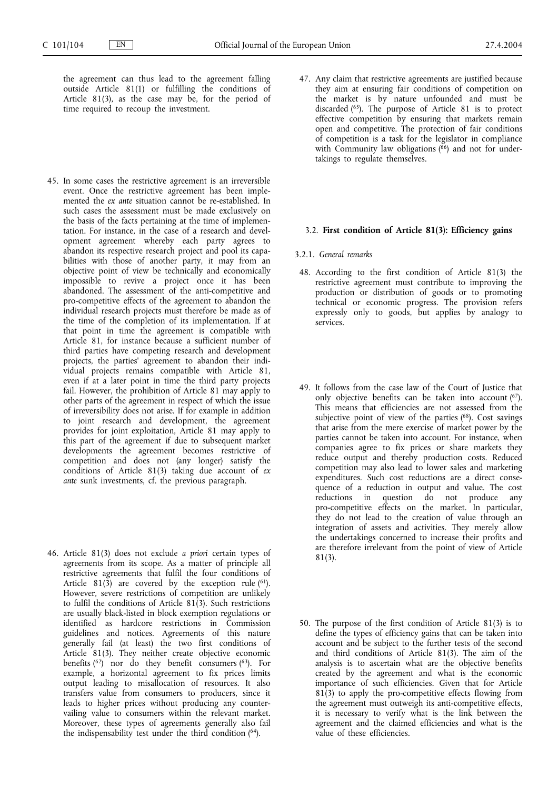the agreement can thus lead to the agreement falling outside Article 81(1) or fulfilling the conditions of Article 81(3), as the case may be, for the period of time required to recoup the investment.

- 45. In some cases the restrictive agreement is an irreversible event. Once the restrictive agreement has been implemented the *ex ante* situation cannot be re-established. In such cases the assessment must be made exclusively on the basis of the facts pertaining at the time of implementation. For instance, in the case of a research and development agreement whereby each party agrees to abandon its respective research project and pool its capabilities with those of another party, it may from an objective point of view be technically and economically impossible to revive a project once it has been abandoned. The assessment of the anti-competitive and pro-competitive effects of the agreement to abandon the individual research projects must therefore be made as of the time of the completion of its implementation. If at that point in time the agreement is compatible with Article 81, for instance because a sufficient number of third parties have competing research and development projects, the parties' agreement to abandon their individual projects remains compatible with Article 81, even if at a later point in time the third party projects fail. However, the prohibition of Article 81 may apply to other parts of the agreement in respect of which the issue of irreversibility does not arise. If for example in addition to joint research and development, the agreement provides for joint exploitation, Article 81 may apply to this part of the agreement if due to subsequent market developments the agreement becomes restrictive of competition and does not (any longer) satisfy the conditions of Article 81(3) taking due account of *ex ante* sunk investments, cf. the previous paragraph.
- 46. Article 81(3) does not exclude *a priori* certain types of agreements from its scope. As a matter of principle all restrictive agreements that fulfil the four conditions of Article 81(3) are covered by the exception rule  $(61)$ . However, severe restrictions of competition are unlikely to fulfil the conditions of Article 81(3). Such restrictions are usually black-listed in block exemption regulations or identified as hardcore restrictions in Commission guidelines and notices. Agreements of this nature generally fail (at least) the two first conditions of Article 81(3). They neither create objective economic benefits  $(62)$  nor do they benefit consumers  $(63)$ . For example, a horizontal agreement to fix prices limits output leading to misallocation of resources. It also transfers value from consumers to producers, since it leads to higher prices without producing any countervailing value to consumers within the relevant market. Moreover, these types of agreements generally also fail the indispensability test under the third condition (64).

47. Any claim that restrictive agreements are justified because they aim at ensuring fair conditions of competition on the market is by nature unfounded and must be discarded (<sup>65</sup>). The purpose of Article 81 is to protect effective competition by ensuring that markets remain open and competitive. The protection of fair conditions of competition is a task for the legislator in compliance with Community law obligations  $(66)$  and not for undertakings to regulate themselves.

## 3.2. **First condition of Article 81(3): Efficiency gains**

3.2.1. *General remarks*

- 48. According to the first condition of Article 81(3) the restrictive agreement must contribute to improving the production or distribution of goods or to promoting technical or economic progress. The provision refers expressly only to goods, but applies by analogy to services.
- 49. It follows from the case law of the Court of Justice that only objective benefits can be taken into account (67). This means that efficiencies are not assessed from the subjective point of view of the parties (<sup>68</sup>). Cost savings that arise from the mere exercise of market power by the parties cannot be taken into account. For instance, when companies agree to fix prices or share markets they reduce output and thereby production costs. Reduced competition may also lead to lower sales and marketing expenditures. Such cost reductions are a direct consequence of a reduction in output and value. The cost reductions in question do not produce any pro-competitive effects on the market. In particular, they do not lead to the creation of value through an integration of assets and activities. They merely allow the undertakings concerned to increase their profits and are therefore irrelevant from the point of view of Article 81(3).
- 50. The purpose of the first condition of Article 81(3) is to define the types of efficiency gains that can be taken into account and be subject to the further tests of the second and third conditions of Article 81(3). The aim of the analysis is to ascertain what are the objective benefits created by the agreement and what is the economic importance of such efficiencies. Given that for Article  $81(3)$  to apply the pro-competitive effects flowing from the agreement must outweigh its anti-competitive effects, it is necessary to verify what is the link between the agreement and the claimed efficiencies and what is the value of these efficiencies.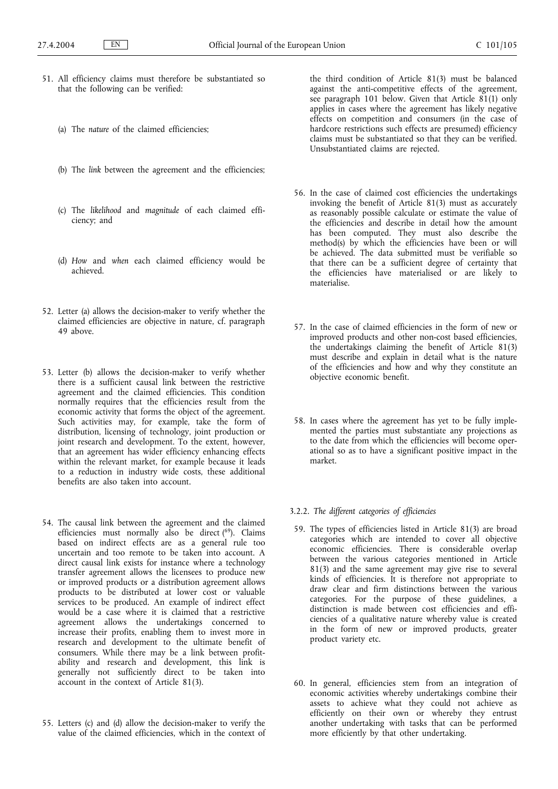- 51. All efficiency claims must therefore be substantiated so that the following can be verified:
	- (a) The *nature* of the claimed efficiencies;
	- (b) The *link* between the agreement and the efficiencies;
	- (c) The *likelihood* and *magnitude* of each claimed efficiency; and
	- (d) *How* and *when* each claimed efficiency would be achieved.
- 52. Letter (a) allows the decision-maker to verify whether the claimed efficiencies are objective in nature, cf. paragraph 49 above.
- 53. Letter (b) allows the decision-maker to verify whether there is a sufficient causal link between the restrictive agreement and the claimed efficiencies. This condition normally requires that the efficiencies result from the economic activity that forms the object of the agreement. Such activities may, for example, take the form of distribution, licensing of technology, joint production or joint research and development. To the extent, however, that an agreement has wider efficiency enhancing effects within the relevant market, for example because it leads to a reduction in industry wide costs, these additional benefits are also taken into account.
- 54. The causal link between the agreement and the claimed efficiencies must normally also be direct (69). Claims based on indirect effects are as a general rule too uncertain and too remote to be taken into account. A direct causal link exists for instance where a technology transfer agreement allows the licensees to produce new or improved products or a distribution agreement allows products to be distributed at lower cost or valuable services to be produced. An example of indirect effect would be a case where it is claimed that a restrictive agreement allows the undertakings concerned to increase their profits, enabling them to invest more in research and development to the ultimate benefit of consumers. While there may be a link between profitability and research and development, this link is generally not sufficiently direct to be taken into account in the context of Article 81(3).
- 55. Letters (c) and (d) allow the decision-maker to verify the value of the claimed efficiencies, which in the context of

the third condition of Article 81(3) must be balanced against the anti-competitive effects of the agreement, see paragraph 101 below. Given that Article 81(1) only applies in cases where the agreement has likely negative effects on competition and consumers (in the case of hardcore restrictions such effects are presumed) efficiency claims must be substantiated so that they can be verified. Unsubstantiated claims are rejected.

- 56. In the case of claimed cost efficiencies the undertakings invoking the benefit of Article 81(3) must as accurately as reasonably possible calculate or estimate the value of the efficiencies and describe in detail how the amount has been computed. They must also describe the method(s) by which the efficiencies have been or will be achieved. The data submitted must be verifiable so that there can be a sufficient degree of certainty that the efficiencies have materialised or are likely to materialise.
- 57. In the case of claimed efficiencies in the form of new or improved products and other non-cost based efficiencies, the undertakings claiming the benefit of Article 81(3) must describe and explain in detail what is the nature of the efficiencies and how and why they constitute an objective economic benefit.
- 58. In cases where the agreement has yet to be fully implemented the parties must substantiate any projections as to the date from which the efficiencies will become operational so as to have a significant positive impact in the market.
- 3.2.2. *The different categories of efficiencies*
- 59. The types of efficiencies listed in Article 81(3) are broad categories which are intended to cover all objective economic efficiencies. There is considerable overlap between the various categories mentioned in Article 81(3) and the same agreement may give rise to several kinds of efficiencies. It is therefore not appropriate to draw clear and firm distinctions between the various categories. For the purpose of these guidelines, a distinction is made between cost efficiencies and efficiencies of a qualitative nature whereby value is created in the form of new or improved products, greater product variety etc.
- 60. In general, efficiencies stem from an integration of economic activities whereby undertakings combine their assets to achieve what they could not achieve as efficiently on their own or whereby they entrust another undertaking with tasks that can be performed more efficiently by that other undertaking.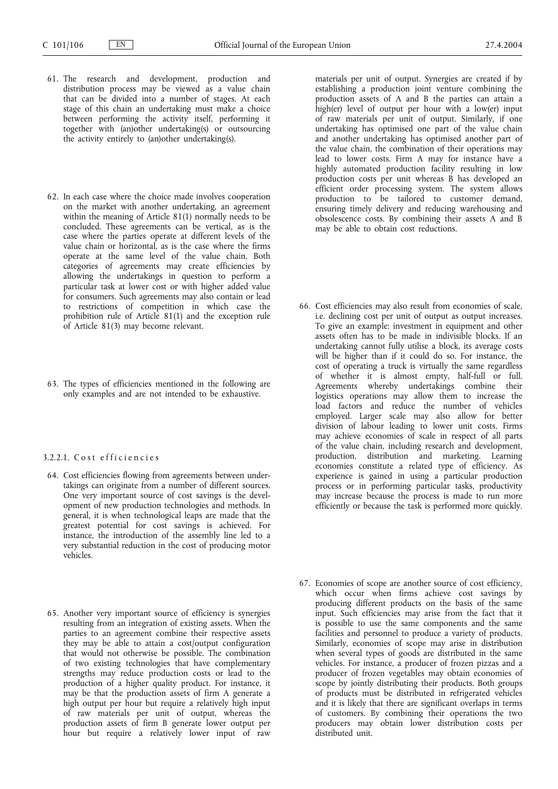- 61. The research and development, production and distribution process may be viewed as a value chain that can be divided into a number of stages. At each stage of this chain an undertaking must make a choice between performing the activity itself, performing it together with (an)other undertaking(s) or outsourcing the activity entirely to (an)other undertaking(s).
- 62. In each case where the choice made involves cooperation on the market with another undertaking, an agreement within the meaning of Article 81(1) normally needs to be concluded. These agreements can be vertical, as is the case where the parties operate at different levels of the value chain or horizontal, as is the case where the firms operate at the same level of the value chain. Both categories of agreements may create efficiencies by allowing the undertakings in question to perform a particular task at lower cost or with higher added value for consumers. Such agreements may also contain or lead to restrictions of competition in which case the prohibition rule of Article 81(1) and the exception rule of Article 81(3) may become relevant.
- 63. The types of efficiencies mentioned in the following are only examples and are not intended to be exhaustive.

# 3.2.2.1. Cost efficiencies

- 64. Cost efficiencies flowing from agreements between undertakings can originate from a number of different sources. One very important source of cost savings is the development of new production technologies and methods. In general, it is when technological leaps are made that the greatest potential for cost savings is achieved. For instance, the introduction of the assembly line led to a very substantial reduction in the cost of producing motor vehicles.
- 65. Another very important source of efficiency is synergies resulting from an integration of existing assets. When the parties to an agreement combine their respective assets they may be able to attain a cost/output configuration that would not otherwise be possible. The combination of two existing technologies that have complementary strengths may reduce production costs or lead to the production of a higher quality product. For instance, it may be that the production assets of firm A generate a high output per hour but require a relatively high input of raw materials per unit of output, whereas the production assets of firm B generate lower output per hour but require a relatively lower input of raw

materials per unit of output. Synergies are created if by establishing a production joint venture combining the production assets of A and B the parties can attain a high(er) level of output per hour with a low(er) input of raw materials per unit of output. Similarly, if one undertaking has optimised one part of the value chain and another undertaking has optimised another part of the value chain, the combination of their operations may lead to lower costs. Firm A may for instance have a highly automated production facility resulting in low production costs per unit whereas B has developed an efficient order processing system. The system allows production to be tailored to customer demand, ensuring timely delivery and reducing warehousing and obsolescence costs. By combining their assets A and B may be able to obtain cost reductions.

- 66. Cost efficiencies may also result from economies of scale, i.e. declining cost per unit of output as output increases. To give an example: investment in equipment and other assets often has to be made in indivisible blocks. If an undertaking cannot fully utilise a block, its average costs will be higher than if it could do so. For instance, the cost of operating a truck is virtually the same regardless of whether it is almost empty, half-full or full. Agreements whereby undertakings combine their logistics operations may allow them to increase the load factors and reduce the number of vehicles employed. Larger scale may also allow for better division of labour leading to lower unit costs. Firms may achieve economies of scale in respect of all parts of the value chain, including research and development, production, distribution and marketing. Learning economies constitute a related type of efficiency. As experience is gained in using a particular production process or in performing particular tasks, productivity may increase because the process is made to run more efficiently or because the task is performed more quickly.
- 67. Economies of scope are another source of cost efficiency, which occur when firms achieve cost savings by producing different products on the basis of the same input. Such efficiencies may arise from the fact that it is possible to use the same components and the same facilities and personnel to produce a variety of products. Similarly, economies of scope may arise in distribution when several types of goods are distributed in the same vehicles. For instance, a producer of frozen pizzas and a producer of frozen vegetables may obtain economies of scope by jointly distributing their products. Both groups of products must be distributed in refrigerated vehicles and it is likely that there are significant overlaps in terms of customers. By combining their operations the two producers may obtain lower distribution costs per distributed unit.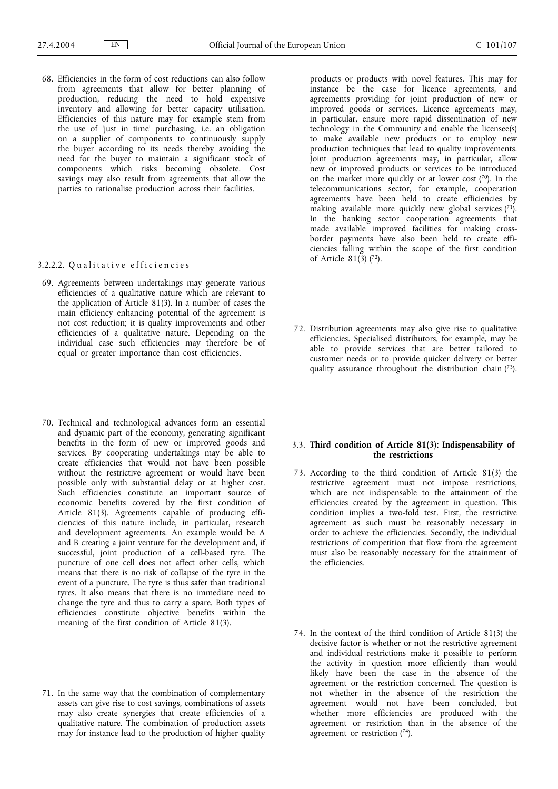68. Efficiencies in the form of cost reductions can also follow from agreements that allow for better planning of production, reducing the need to hold expensive inventory and allowing for better capacity utilisation. Efficiencies of this nature may for example stem from the use of 'just in time' purchasing, i.e. an obligation on a supplier of components to continuously supply the buyer according to its needs thereby avoiding the need for the buyer to maintain a significant stock of components which risks becoming obsolete. Cost savings may also result from agreements that allow the parties to rationalise production across their facilities.

## 3.2.2.2. Qualitative efficiencies

- 69. Agreements between undertakings may generate various efficiencies of a qualitative nature which are relevant to the application of Article 81(3). In a number of cases the main efficiency enhancing potential of the agreement is not cost reduction; it is quality improvements and other efficiencies of a qualitative nature. Depending on the individual case such efficiencies may therefore be of equal or greater importance than cost efficiencies.
- 70. Technical and technological advances form an essential and dynamic part of the economy, generating significant benefits in the form of new or improved goods and services. By cooperating undertakings may be able to create efficiencies that would not have been possible without the restrictive agreement or would have been possible only with substantial delay or at higher cost. Such efficiencies constitute an important source of economic benefits covered by the first condition of Article 81(3). Agreements capable of producing efficiencies of this nature include, in particular, research and development agreements. An example would be A and B creating a joint venture for the development and, if successful, joint production of a cell-based tyre. The puncture of one cell does not affect other cells, which means that there is no risk of collapse of the tyre in the event of a puncture. The tyre is thus safer than traditional tyres. It also means that there is no immediate need to change the tyre and thus to carry a spare. Both types of efficiencies constitute objective benefits within the meaning of the first condition of Article 81(3).
- 71. In the same way that the combination of complementary assets can give rise to cost savings, combinations of assets may also create synergies that create efficiencies of a qualitative nature. The combination of production assets may for instance lead to the production of higher quality

products or products with novel features. This may for instance be the case for licence agreements, and agreements providing for joint production of new or improved goods or services. Licence agreements may, in particular, ensure more rapid dissemination of new technology in the Community and enable the licensee(s) to make available new products or to employ new production techniques that lead to quality improvements. Joint production agreements may, in particular, allow new or improved products or services to be introduced on the market more quickly or at lower cost  $(70)$ . In the telecommunications sector, for example, cooperation agreements have been held to create efficiencies by making available more quickly new global services  $(71)$ . In the banking sector cooperation agreements that made available improved facilities for making crossborder payments have also been held to create efficiencies falling within the scope of the first condition of Article 81(3)  $(72)$ .

72. Distribution agreements may also give rise to qualitative efficiencies. Specialised distributors, for example, may be able to provide services that are better tailored to customer needs or to provide quicker delivery or better quality assurance throughout the distribution chain (73).

## 3.3. **Third condition of Article 81(3): Indispensability of the restrictions**

- 73. According to the third condition of Article 81(3) the restrictive agreement must not impose restrictions, which are not indispensable to the attainment of the efficiencies created by the agreement in question. This condition implies a two-fold test. First, the restrictive agreement as such must be reasonably necessary in order to achieve the efficiencies. Secondly, the individual restrictions of competition that flow from the agreement must also be reasonably necessary for the attainment of the efficiencies.
- 74. In the context of the third condition of Article 81(3) the decisive factor is whether or not the restrictive agreement and individual restrictions make it possible to perform the activity in question more efficiently than would likely have been the case in the absence of the agreement or the restriction concerned. The question is not whether in the absence of the restriction the agreement would not have been concluded, but whether more efficiencies are produced with the agreement or restriction than in the absence of the agreement or restriction  $(^{74})$ .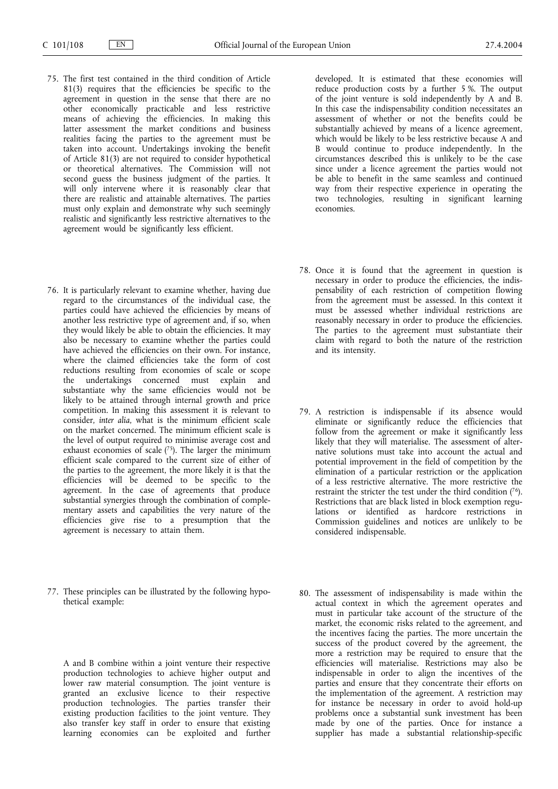- 75. The first test contained in the third condition of Article 81(3) requires that the efficiencies be specific to the agreement in question in the sense that there are no other economically practicable and less restrictive means of achieving the efficiencies. In making this latter assessment the market conditions and business realities facing the parties to the agreement must be taken into account. Undertakings invoking the benefit of Article 81(3) are not required to consider hypothetical or theoretical alternatives. The Commission will not second guess the business judgment of the parties. It will only intervene where it is reasonably clear that there are realistic and attainable alternatives. The parties must only explain and demonstrate why such seemingly realistic and significantly less restrictive alternatives to the agreement would be significantly less efficient.
- 76. It is particularly relevant to examine whether, having due regard to the circumstances of the individual case, the parties could have achieved the efficiencies by means of another less restrictive type of agreement and, if so, when they would likely be able to obtain the efficiencies. It may also be necessary to examine whether the parties could have achieved the efficiencies on their own. For instance, where the claimed efficiencies take the form of cost reductions resulting from economies of scale or scope the undertakings concerned must explain and substantiate why the same efficiencies would not be likely to be attained through internal growth and price competition. In making this assessment it is relevant to consider, *inter alia*, what is the minimum efficient scale on the market concerned. The minimum efficient scale is the level of output required to minimise average cost and exhaust economies of scale  $(75)$ . The larger the minimum efficient scale compared to the current size of either of the parties to the agreement, the more likely it is that the efficiencies will be deemed to be specific to the agreement. In the case of agreements that produce substantial synergies through the combination of complementary assets and capabilities the very nature of the efficiencies give rise to a presumption that the agreement is necessary to attain them.
- 77. These principles can be illustrated by the following hypothetical example:

A and B combine within a joint venture their respective production technologies to achieve higher output and lower raw material consumption. The joint venture is granted an exclusive licence to their respective production technologies. The parties transfer their existing production facilities to the joint venture. They also transfer key staff in order to ensure that existing learning economies can be exploited and further

developed. It is estimated that these economies will reduce production costs by a further 5 %. The output of the joint venture is sold independently by A and B. In this case the indispensability condition necessitates an assessment of whether or not the benefits could be substantially achieved by means of a licence agreement, which would be likely to be less restrictive because A and B would continue to produce independently. In the circumstances described this is unlikely to be the case since under a licence agreement the parties would not be able to benefit in the same seamless and continued way from their respective experience in operating the two technologies, resulting in significant learning economies.

- 78. Once it is found that the agreement in question is necessary in order to produce the efficiencies, the indispensability of each restriction of competition flowing from the agreement must be assessed. In this context it must be assessed whether individual restrictions are reasonably necessary in order to produce the efficiencies. The parties to the agreement must substantiate their claim with regard to both the nature of the restriction and its intensity.
- 79. A restriction is indispensable if its absence would eliminate or significantly reduce the efficiencies that follow from the agreement or make it significantly less likely that they will materialise. The assessment of alternative solutions must take into account the actual and potential improvement in the field of competition by the elimination of a particular restriction or the application of a less restrictive alternative. The more restrictive the restraint the stricter the test under the third condition  $(76)$ . Restrictions that are black listed in block exemption regulations or identified as hardcore restrictions in Commission guidelines and notices are unlikely to be considered indispensable.
- 80. The assessment of indispensability is made within the actual context in which the agreement operates and must in particular take account of the structure of the market, the economic risks related to the agreement, and the incentives facing the parties. The more uncertain the success of the product covered by the agreement, the more a restriction may be required to ensure that the efficiencies will materialise. Restrictions may also be indispensable in order to align the incentives of the parties and ensure that they concentrate their efforts on the implementation of the agreement. A restriction may for instance be necessary in order to avoid hold-up problems once a substantial sunk investment has been made by one of the parties. Once for instance a supplier has made a substantial relationship-specific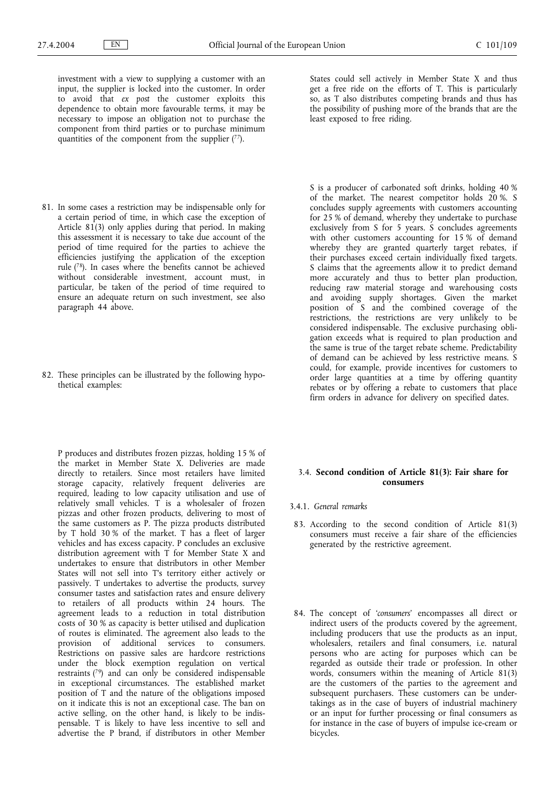investment with a view to supplying a customer with an input, the supplier is locked into the customer. In order to avoid that *ex post* the customer exploits this dependence to obtain more favourable terms, it may be necessary to impose an obligation not to purchase the component from third parties or to purchase minimum quantities of the component from the supplier  $(77)$ .

- 81. In some cases a restriction may be indispensable only for a certain period of time, in which case the exception of Article  $81(3)$  only applies during that period. In making this assessment it is necessary to take due account of the period of time required for the parties to achieve the efficiencies justifying the application of the exception rule (78). In cases where the benefits cannot be achieved without considerable investment, account must, in particular, be taken of the period of time required to ensure an adequate return on such investment, see also paragraph 44 above.
- 82. These principles can be illustrated by the following hypothetical examples:

P produces and distributes frozen pizzas, holding 15 % of the market in Member State X. Deliveries are made directly to retailers. Since most retailers have limited storage capacity, relatively frequent deliveries are required, leading to low capacity utilisation and use of relatively small vehicles. T is a wholesaler of frozen pizzas and other frozen products, delivering to most of the same customers as P. The pizza products distributed by T hold 30 % of the market. T has a fleet of larger vehicles and has excess capacity. P concludes an exclusive distribution agreement with T for Member State X and undertakes to ensure that distributors in other Member States will not sell into T's territory either actively or passively. T undertakes to advertise the products, survey consumer tastes and satisfaction rates and ensure delivery to retailers of all products within 24 hours. The agreement leads to a reduction in total distribution costs of 30 % as capacity is better utilised and duplication of routes is eliminated. The agreement also leads to the provision of additional services to consumers. Restrictions on passive sales are hardcore restrictions under the block exemption regulation on vertical restraints (79) and can only be considered indispensable in exceptional circumstances. The established market position of T and the nature of the obligations imposed on it indicate this is not an exceptional case. The ban on active selling, on the other hand, is likely to be indispensable. T is likely to have less incentive to sell and advertise the P brand, if distributors in other Member

States could sell actively in Member State X and thus get a free ride on the efforts of T. This is particularly so, as T also distributes competing brands and thus has the possibility of pushing more of the brands that are the least exposed to free riding.

S is a producer of carbonated soft drinks, holding 40 % of the market. The nearest competitor holds 20 %. S concludes supply agreements with customers accounting for 25 % of demand, whereby they undertake to purchase exclusively from S for 5 years. S concludes agreements with other customers accounting for 15 % of demand whereby they are granted quarterly target rebates, if their purchases exceed certain individually fixed targets. S claims that the agreements allow it to predict demand more accurately and thus to better plan production, reducing raw material storage and warehousing costs and avoiding supply shortages. Given the market position of S and the combined coverage of the restrictions, the restrictions are very unlikely to be considered indispensable. The exclusive purchasing obligation exceeds what is required to plan production and the same is true of the target rebate scheme. Predictability of demand can be achieved by less restrictive means. S could, for example, provide incentives for customers to order large quantities at a time by offering quantity rebates or by offering a rebate to customers that place firm orders in advance for delivery on specified dates.

# 3.4. **Second condition of Article 81(3): Fair share for consumers**

- 3.4.1. *General remarks*
- 83. According to the second condition of Article 81(3) consumers must receive a fair share of the efficiencies generated by the restrictive agreement.
- 84. The concept of '*consumers*' encompasses all direct or indirect users of the products covered by the agreement, including producers that use the products as an input, wholesalers, retailers and final consumers, i.e. natural persons who are acting for purposes which can be regarded as outside their trade or profession. In other words, consumers within the meaning of Article 81(3) are the customers of the parties to the agreement and subsequent purchasers. These customers can be undertakings as in the case of buyers of industrial machinery or an input for further processing or final consumers as for instance in the case of buyers of impulse ice-cream or bicycles.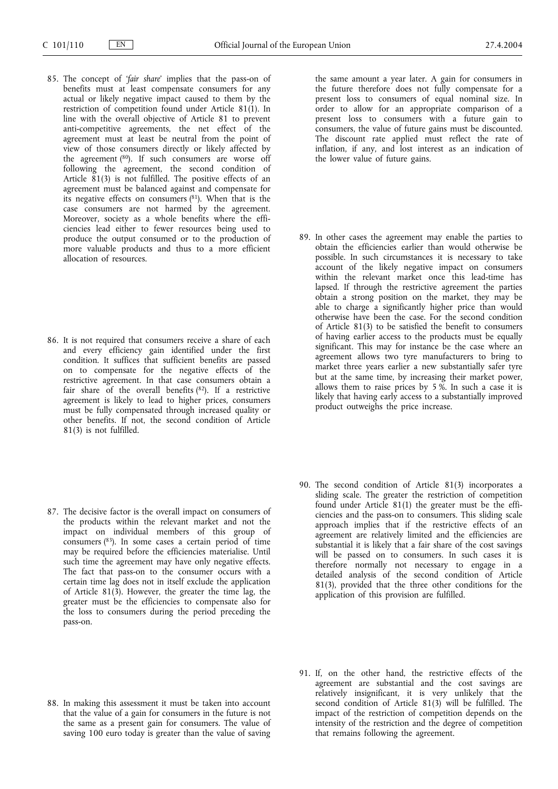- 85. The concept of '*fair share*' implies that the pass-on of benefits must at least compensate consumers for any actual or likely negative impact caused to them by the restriction of competition found under Article 81(1). In line with the overall objective of Article 81 to prevent anti-competitive agreements, the net effect of the agreement must at least be neutral from the point of view of those consumers directly or likely affected by the agreement  $(80)$ . If such consumers are worse off following the agreement, the second condition of Article 81(3) is not fulfilled. The positive effects of an agreement must be balanced against and compensate for its negative effects on consumers (81). When that is the case consumers are not harmed by the agreement. Moreover, society as a whole benefits where the efficiencies lead either to fewer resources being used to produce the output consumed or to the production of more valuable products and thus to a more efficient allocation of resources.
- 86. It is not required that consumers receive a share of each and every efficiency gain identified under the first condition. It suffices that sufficient benefits are passed on to compensate for the negative effects of the restrictive agreement. In that case consumers obtain a fair share of the overall benefits (82). If a restrictive agreement is likely to lead to higher prices, consumers must be fully compensated through increased quality or other benefits. If not, the second condition of Article 81(3) is not fulfilled.
- 87. The decisive factor is the overall impact on consumers of the products within the relevant market and not the impact on individual members of this group of consumers  $(^{83})$ . In some cases a certain period of time may be required before the efficiencies materialise. Until such time the agreement may have only negative effects. The fact that pass-on to the consumer occurs with a certain time lag does not in itself exclude the application of Article 81( $\overline{3}$ ). However, the greater the time lag, the greater must be the efficiencies to compensate also for the loss to consumers during the period preceding the pass-on.
- the same amount a year later. A gain for consumers in the future therefore does not fully compensate for a present loss to consumers of equal nominal size. In order to allow for an appropriate comparison of a present loss to consumers with a future gain to consumers, the value of future gains must be discounted. The discount rate applied must reflect the rate of inflation, if any, and lost interest as an indication of the lower value of future gains.
- 89. In other cases the agreement may enable the parties to obtain the efficiencies earlier than would otherwise be possible. In such circumstances it is necessary to take account of the likely negative impact on consumers within the relevant market once this lead-time has lapsed. If through the restrictive agreement the parties obtain a strong position on the market, they may be able to charge a significantly higher price than would otherwise have been the case. For the second condition of Article 81(3) to be satisfied the benefit to consumers of having earlier access to the products must be equally significant. This may for instance be the case where an agreement allows two tyre manufacturers to bring to market three years earlier a new substantially safer tyre but at the same time, by increasing their market power, allows them to raise prices by  $5\%$ . In such a case it is likely that having early access to a substantially improved product outweighs the price increase.
- 90. The second condition of Article 81(3) incorporates a sliding scale. The greater the restriction of competition found under Article 81(1) the greater must be the efficiencies and the pass-on to consumers. This sliding scale approach implies that if the restrictive effects of an agreement are relatively limited and the efficiencies are substantial it is likely that a fair share of the cost savings will be passed on to consumers. In such cases it is therefore normally not necessary to engage in a detailed analysis of the second condition of Article 81(3), provided that the three other conditions for the application of this provision are fulfilled.

- 88. In making this assessment it must be taken into account that the value of a gain for consumers in the future is not the same as a present gain for consumers. The value of saving 100 euro today is greater than the value of saving
- 91. If, on the other hand, the restrictive effects of the agreement are substantial and the cost savings are relatively insignificant, it is very unlikely that the second condition of Article 81(3) will be fulfilled. The impact of the restriction of competition depends on the intensity of the restriction and the degree of competition that remains following the agreement.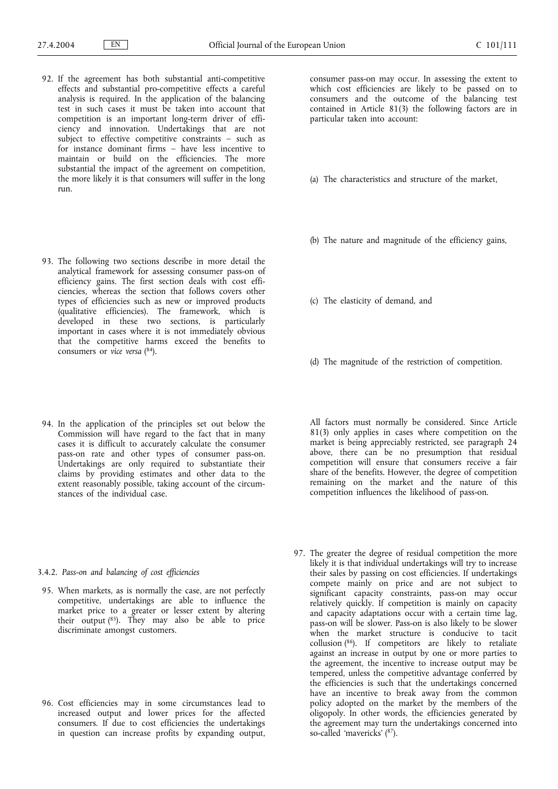- 92. If the agreement has both substantial anti-competitive effects and substantial pro-competitive effects a careful analysis is required. In the application of the balancing test in such cases it must be taken into account that competition is an important long-term driver of efficiency and innovation. Undertakings that are not subject to effective competitive constraints – such as for instance dominant firms – have less incentive to maintain or build on the efficiencies. The more substantial the impact of the agreement on competition, the more likely it is that consumers will suffer in the long run.
- 93. The following two sections describe in more detail the analytical framework for assessing consumer pass-on of efficiency gains. The first section deals with cost efficiencies, whereas the section that follows covers other types of efficiencies such as new or improved products (qualitative efficiencies). The framework, which is developed in these two sections, is particularly important in cases where it is not immediately obvious that the competitive harms exceed the benefits to consumers or *vice versa* ( 84).
- 94. In the application of the principles set out below the Commission will have regard to the fact that in many cases it is difficult to accurately calculate the consumer pass-on rate and other types of consumer pass-on. Undertakings are only required to substantiate their claims by providing estimates and other data to the extent reasonably possible, taking account of the circumstances of the individual case.
- 3.4.2. *Pass-on and balancing of cost efficiencies*
- 95. When markets, as is normally the case, are not perfectly competitive, undertakings are able to influence the market price to a greater or lesser extent by altering their output  $(^{85})$ . They may also be able to price discriminate amongst customers.
- 96. Cost efficiencies may in some circumstances lead to increased output and lower prices for the affected consumers. If due to cost efficiencies the undertakings in question can increase profits by expanding output,

consumer pass-on may occur. In assessing the extent to which cost efficiencies are likely to be passed on to consumers and the outcome of the balancing test contained in Article 81(3) the following factors are in particular taken into account:

- (a) The characteristics and structure of the market,
- (b) The nature and magnitude of the efficiency gains,
- (c) The elasticity of demand, and
- (d) The magnitude of the restriction of competition.

All factors must normally be considered. Since Article 81(3) only applies in cases where competition on the market is being appreciably restricted, see paragraph 24 above, there can be no presumption that residual competition will ensure that consumers receive a fair share of the benefits. However, the degree of competition remaining on the market and the nature of this competition influences the likelihood of pass-on.

97. The greater the degree of residual competition the more likely it is that individual undertakings will try to increase their sales by passing on cost efficiencies. If undertakings compete mainly on price and are not subject to significant capacity constraints, pass-on may occur relatively quickly. If competition is mainly on capacity and capacity adaptations occur with a certain time lag, pass-on will be slower. Pass-on is also likely to be slower when the market structure is conducive to tacit collusion (86). If competitors are likely to retaliate against an increase in output by one or more parties to the agreement, the incentive to increase output may be tempered, unless the competitive advantage conferred by the efficiencies is such that the undertakings concerned have an incentive to break away from the common policy adopted on the market by the members of the oligopoly. In other words, the efficiencies generated by the agreement may turn the undertakings concerned into so-called 'mavericks' (87).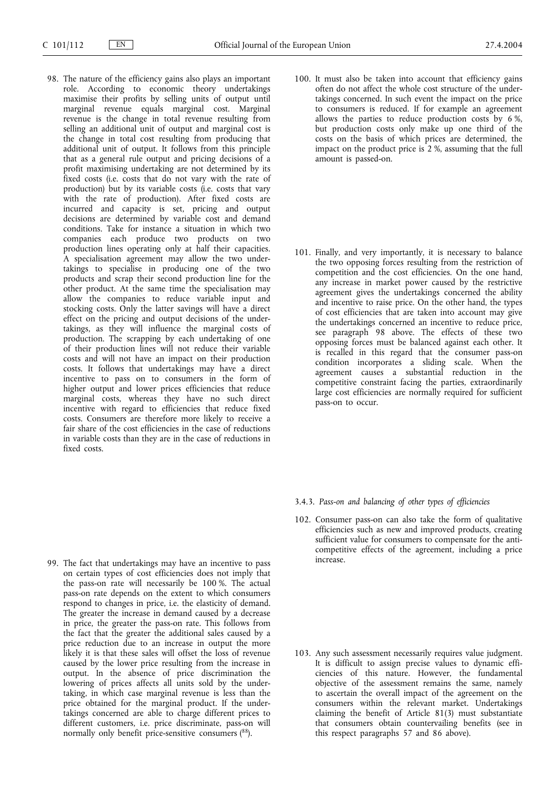98. The nature of the efficiency gains also plays an important role. According to economic theory undertakings maximise their profits by selling units of output until marginal revenue equals marginal cost. Marginal revenue is the change in total revenue resulting from selling an additional unit of output and marginal cost is the change in total cost resulting from producing that additional unit of output. It follows from this principle that as a general rule output and pricing decisions of a profit maximising undertaking are not determined by its fixed costs (i.e. costs that do not vary with the rate of production) but by its variable costs (i.e. costs that vary with the rate of production). After fixed costs are incurred and capacity is set, pricing and output decisions are determined by variable cost and demand conditions. Take for instance a situation in which two companies each produce two products on two production lines operating only at half their capacities. A specialisation agreement may allow the two undertakings to specialise in producing one of the two products and scrap their second production line for the other product. At the same time the specialisation may allow the companies to reduce variable input and stocking costs. Only the latter savings will have a direct effect on the pricing and output decisions of the undertakings, as they will influence the marginal costs of production. The scrapping by each undertaking of one of their production lines will not reduce their variable costs and will not have an impact on their production costs. It follows that undertakings may have a direct incentive to pass on to consumers in the form of higher output and lower prices efficiencies that reduce marginal costs, whereas they have no such direct incentive with regard to efficiencies that reduce fixed costs. Consumers are therefore more likely to receive a fair share of the cost efficiencies in the case of reductions in variable costs than they are in the case of reductions in fixed costs.

99. The fact that undertakings may have an incentive to pass on certain types of cost efficiencies does not imply that the pass-on rate will necessarily be 100 %. The actual pass-on rate depends on the extent to which consumers respond to changes in price, i.e. the elasticity of demand. The greater the increase in demand caused by a decrease in price, the greater the pass-on rate. This follows from the fact that the greater the additional sales caused by a price reduction due to an increase in output the more likely it is that these sales will offset the loss of revenue caused by the lower price resulting from the increase in output. In the absence of price discrimination the lowering of prices affects all units sold by the undertaking, in which case marginal revenue is less than the price obtained for the marginal product. If the undertakings concerned are able to charge different prices to different customers, i.e. price discriminate, pass-on will normally only benefit price-sensitive consumers (88).

100. It must also be taken into account that efficiency gains often do not affect the whole cost structure of the undertakings concerned. In such event the impact on the price to consumers is reduced. If for example an agreement allows the parties to reduce production costs by 6 %, but production costs only make up one third of the costs on the basis of which prices are determined, the impact on the product price is 2 %, assuming that the full amount is passed-on.

101. Finally, and very importantly, it is necessary to balance the two opposing forces resulting from the restriction of competition and the cost efficiencies. On the one hand, any increase in market power caused by the restrictive agreement gives the undertakings concerned the ability and incentive to raise price. On the other hand, the types of cost efficiencies that are taken into account may give the undertakings concerned an incentive to reduce price, see paragraph 98 above. The effects of these two opposing forces must be balanced against each other. It is recalled in this regard that the consumer pass-on condition incorporates a sliding scale. When the agreement causes a substantial reduction in the competitive constraint facing the parties, extraordinarily large cost efficiencies are normally required for sufficient pass-on to occur.

### 3.4.3. *Pass-on and balancing of other types of efficiencies*

102. Consumer pass-on can also take the form of qualitative efficiencies such as new and improved products, creating sufficient value for consumers to compensate for the anticompetitive effects of the agreement, including a price increase.

103. Any such assessment necessarily requires value judgment. It is difficult to assign precise values to dynamic efficiencies of this nature. However, the fundamental objective of the assessment remains the same, namely to ascertain the overall impact of the agreement on the consumers within the relevant market. Undertakings claiming the benefit of Article 81(3) must substantiate that consumers obtain countervailing benefits (see in this respect paragraphs 57 and 86 above).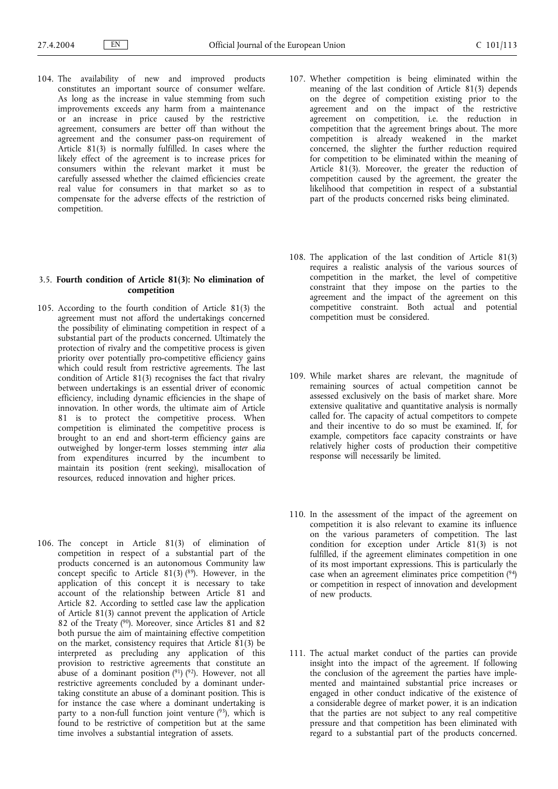104. The availability of new and improved products constitutes an important source of consumer welfare. As long as the increase in value stemming from such improvements exceeds any harm from a maintenance or an increase in price caused by the restrictive agreement, consumers are better off than without the agreement and the consumer pass-on requirement of Article 81(3) is normally fulfilled. In cases where the likely effect of the agreement is to increase prices for consumers within the relevant market it must be carefully assessed whether the claimed efficiencies create real value for consumers in that market so as to compensate for the adverse effects of the restriction of competition.

## 3.5. **Fourth condition of Article 81(3): No elimination of competition**

- 105. According to the fourth condition of Article 81(3) the agreement must not afford the undertakings concerned the possibility of eliminating competition in respect of a substantial part of the products concerned. Ultimately the protection of rivalry and the competitive process is given priority over potentially pro-competitive efficiency gains which could result from restrictive agreements. The last condition of Article 81(3) recognises the fact that rivalry between undertakings is an essential driver of economic efficiency, including dynamic efficiencies in the shape of innovation. In other words, the ultimate aim of Article 81 is to protect the competitive process. When competition is eliminated the competitive process is brought to an end and short-term efficiency gains are outweighed by longer-term losses stemming *inter alia* from expenditures incurred by the incumbent to maintain its position (rent seeking), misallocation of resources, reduced innovation and higher prices.
- 106. The concept in Article 81(3) of elimination of competition in respect of a substantial part of the products concerned is an autonomous Community law concept specific to Article 81(3) ( $89$ ). However, in the application of this concept it is necessary to take account of the relationship between Article 81 and Article 82. According to settled case law the application of Article 81(3) cannot prevent the application of Article 82 of the Treaty (90). Moreover, since Articles 81 and 82 both pursue the aim of maintaining effective competition on the market, consistency requires that Article  $\frac{81}{3}$  be interpreted as precluding any application of this provision to restrictive agreements that constitute an abuse of a dominant position  $(91)$   $(92)$ . However, not all restrictive agreements concluded by a dominant undertaking constitute an abuse of a dominant position. This is for instance the case where a dominant undertaking is party to a non-full function joint venture  $(^{93})$ , which is found to be restrictive of competition but at the same time involves a substantial integration of assets.
- 107. Whether competition is being eliminated within the meaning of the last condition of Article 81(3) depends on the degree of competition existing prior to the agreement and on the impact of the restrictive agreement on competition, i.e. the reduction in competition that the agreement brings about. The more competition is already weakened in the market concerned, the slighter the further reduction required for competition to be eliminated within the meaning of Article 81(3). Moreover, the greater the reduction of competition caused by the agreement, the greater the likelihood that competition in respect of a substantial part of the products concerned risks being eliminated.
- 108. The application of the last condition of Article 81(3) requires a realistic analysis of the various sources of competition in the market, the level of competitive constraint that they impose on the parties to the agreement and the impact of the agreement on this competitive constraint. Both actual and potential competition must be considered.
- 109. While market shares are relevant, the magnitude of remaining sources of actual competition cannot be assessed exclusively on the basis of market share. More extensive qualitative and quantitative analysis is normally called for. The capacity of actual competitors to compete and their incentive to do so must be examined. If, for example, competitors face capacity constraints or have relatively higher costs of production their competitive response will necessarily be limited.
- 110. In the assessment of the impact of the agreement on competition it is also relevant to examine its influence on the various parameters of competition. The last condition for exception under Article 81(3) is not fulfilled, if the agreement eliminates competition in one of its most important expressions. This is particularly the case when an agreement eliminates price competition (94) or competition in respect of innovation and development of new products.
- 111. The actual market conduct of the parties can provide insight into the impact of the agreement. If following the conclusion of the agreement the parties have implemented and maintained substantial price increases or engaged in other conduct indicative of the existence of a considerable degree of market power, it is an indication that the parties are not subject to any real competitive pressure and that competition has been eliminated with regard to a substantial part of the products concerned.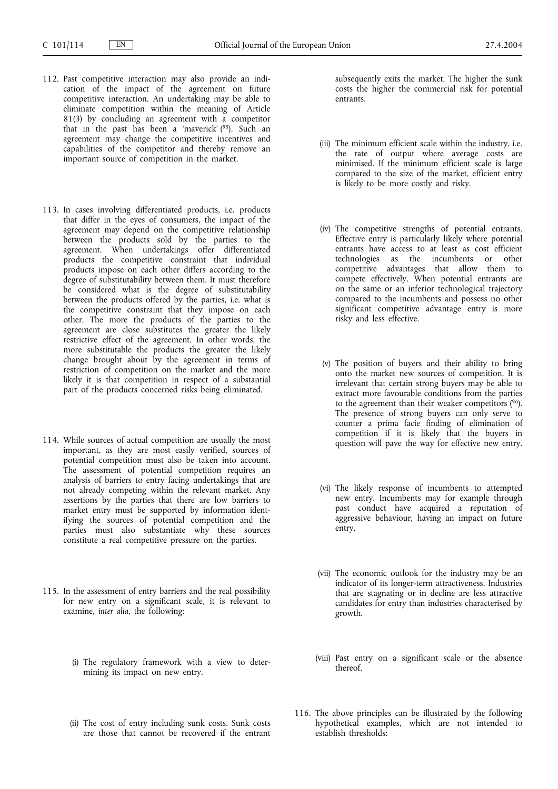- 112. Past competitive interaction may also provide an indication of the impact of the agreement on future competitive interaction. An undertaking may be able to eliminate competition within the meaning of Article 81(3) by concluding an agreement with a competitor that in the past has been a 'maverick'  $(95)$ . Such an agreement may change the competitive incentives and capabilities of the competitor and thereby remove an important source of competition in the market.
- 113. In cases involving differentiated products, i.e. products that differ in the eyes of consumers, the impact of the agreement may depend on the competitive relationship between the products sold by the parties to the agreement. When undertakings offer differentiated products the competitive constraint that individual products impose on each other differs according to the degree of substitutability between them. It must therefore be considered what is the degree of substitutability between the products offered by the parties, i.e. what is the competitive constraint that they impose on each other. The more the products of the parties to the agreement are close substitutes the greater the likely restrictive effect of the agreement. In other words, the more substitutable the products the greater the likely change brought about by the agreement in terms of restriction of competition on the market and the more likely it is that competition in respect of a substantial part of the products concerned risks being eliminated.
- 114. While sources of actual competition are usually the most important, as they are most easily verified, sources of potential competition must also be taken into account. The assessment of potential competition requires an analysis of barriers to entry facing undertakings that are not already competing within the relevant market. Any assertions by the parties that there are low barriers to market entry must be supported by information identifying the sources of potential competition and the parties must also substantiate why these sources constitute a real competitive pressure on the parties.
- 115. In the assessment of entry barriers and the real possibility for new entry on a significant scale, it is relevant to examine, *inter alia*, the following:
	- (i) The regulatory framework with a view to determining its impact on new entry.
	- (ii) The cost of entry including sunk costs. Sunk costs are those that cannot be recovered if the entrant

subsequently exits the market. The higher the sunk costs the higher the commercial risk for potential entrants.

- (iii) The minimum efficient scale within the industry, i.e. the rate of output where average costs are minimised. If the minimum efficient scale is large compared to the size of the market, efficient entry is likely to be more costly and risky.
- (iv) The competitive strengths of potential entrants. Effective entry is particularly likely where potential entrants have access to at least as cost efficient technologies as the incumbents or other competitive advantages that allow them to compete effectively. When potential entrants are on the same or an inferior technological trajectory compared to the incumbents and possess no other significant competitive advantage entry is more risky and less effective.
- (v) The position of buyers and their ability to bring onto the market new sources of competition. It is irrelevant that certain strong buyers may be able to extract more favourable conditions from the parties to the agreement than their weaker competitors (96). The presence of strong buyers can only serve to counter a prima facie finding of elimination of competition if it is likely that the buyers in question will pave the way for effective new entry.
- (vi) The likely response of incumbents to attempted new entry. Incumbents may for example through past conduct have acquired a reputation of aggressive behaviour, having an impact on future entry.
- (vii) The economic outlook for the industry may be an indicator of its longer-term attractiveness. Industries that are stagnating or in decline are less attractive candidates for entry than industries characterised by growth.
- (viii) Past entry on a significant scale or the absence thereof.
- 116. The above principles can be illustrated by the following hypothetical examples, which are not intended to establish thresholds: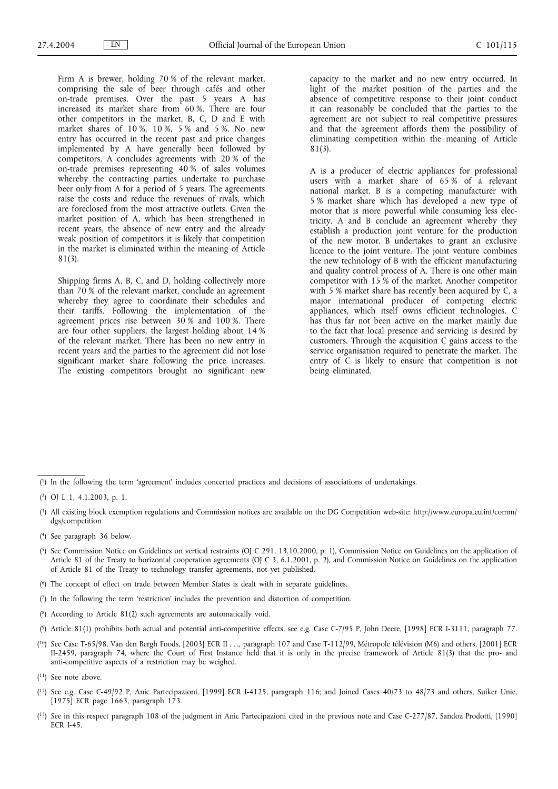Firm A is brewer, holding 70 % of the relevant market, comprising the sale of beer through cafés and other on-trade premises. Over the past 5 years A has increased its market share from 60 %. There are four other competitors in the market, B, C, D and E with market shares of 10 %, 10 %, 5 % and 5 %. No new entry has occurred in the recent past and price changes implemented by A have generally been followed by competitors. A concludes agreements with 20 % of the on-trade premises representing 40 % of sales volumes whereby the contracting parties undertake to purchase beer only from A for a period of 5 years. The agreements raise the costs and reduce the revenues of rivals, which are foreclosed from the most attractive outlets. Given the market position of A, which has been strengthened in recent years, the absence of new entry and the already weak position of competitors it is likely that competition in the market is eliminated within the meaning of Article 81(3).

Shipping firms A, B, C, and D, holding collectively more than 70 % of the relevant market, conclude an agreement whereby they agree to coordinate their schedules and their tariffs. Following the implementation of the agreement prices rise between 30 % and 100 %. There are four other suppliers, the largest holding about 14 % of the relevant market. There has been no new entry in recent years and the parties to the agreement did not lose significant market share following the price increases. The existing competitors brought no significant new

capacity to the market and no new entry occurred. In light of the market position of the parties and the absence of competitive response to their joint conduct it can reasonably be concluded that the parties to the agreement are not subject to real competitive pressures and that the agreement affords them the possibility of eliminating competition within the meaning of Article 81(3).

A is a producer of electric appliances for professional users with a market share of 65 % of a relevant national market. B is a competing manufacturer with 5 % market share which has developed a new type of motor that is more powerful while consuming less electricity. A and B conclude an agreement whereby they establish a production joint venture for the production of the new motor. B undertakes to grant an exclusive licence to the joint venture. The joint venture combines the new technology of B with the efficient manufacturing and quality control process of A. There is one other main competitor with 15 % of the market. Another competitor with 5 % market share has recently been acquired by C, a major international producer of competing electric appliances, which itself owns efficient technologies. C has thus far not been active on the market mainly due to the fact that local presence and servicing is desired by customers. Through the acquisition C gains access to the service organisation required to penetrate the market. The entry of C is likely to ensure that competition is not being eliminated.

( 1) In the following the term 'agreement' includes concerted practices and decisions of associations of undertakings.

- ( 3) All existing block exemption regulations and Commission notices are available on the DG Competition web-site: http://www.europa.eu.int/comm/ dgs/competition
- ( 4) See paragraph 36 below.
- ( 5) See Commission Notice on Guidelines on vertical restraints (OJ C 291, 13.10.2000, p. 1), Commission Notice on Guidelines on the application of Article 81 of the Treaty to horizontal cooperation agreements (OJ C 3, 6.1.2001, p. 2), and Commission Notice on Guidelines on the application of Article 81 of the Treaty to technology transfer agreements, not yet published.
- ( 6) The concept of effect on trade between Member States is dealt with in separate guidelines.
- ( 7) In the following the term 'restriction' includes the prevention and distortion of competition.
- ( 8) According to Article 81(2) such agreements are automatically void.
- ( 9) Article 81(1) prohibits both actual and potential anti-competitive effects, see e.g. Case C-7/95 P, John Deere, [1998] ECR I-3111, paragraph 77.
- ( 10) See Case T-65/98, Van den Bergh Foods, [2003] ECR II . . ., paragraph 107 and Case T-112/99, Métropole télévision (M6) and others, [2001] ECR II-2459, paragraph 74, where the Court of First Instance held that it is only in the precise framework of Article 81(3) that the pro- and anti-competitive aspects of a restriction may be weighed.

- ( 12) See e.g. Case C-49/92 P, Anic Partecipazioni, [1999] ECR I-4125, paragraph 116; and Joined Cases 40/73 to 48/73 and others, Suiker Unie, [1975] ECR page 1663, paragraph 173.
- ( 13) See in this respect paragraph 108 of the judgment in Anic Partecipazioni cited in the previous note and Case C-277/87, Sandoz Prodotti, [1990] ECR I-45.

<sup>(</sup> 2) OJ L 1, 4.1.2003, p. 1.

<sup>(</sup> 11) See note above.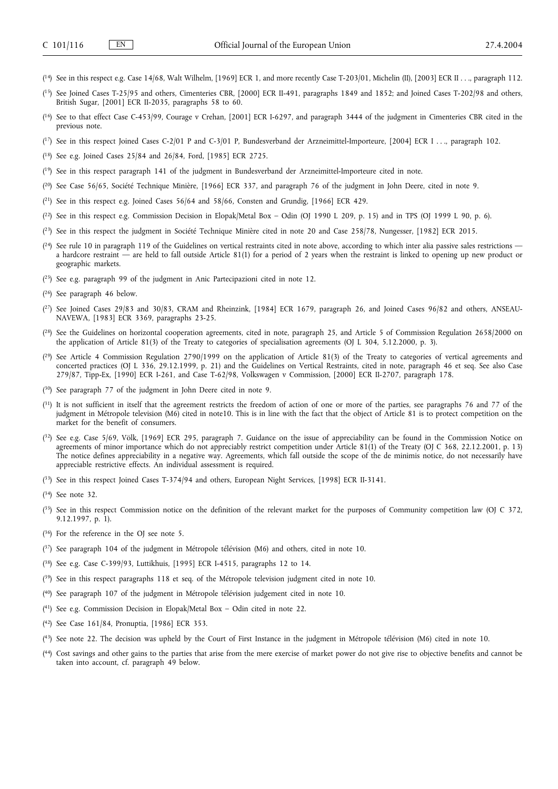- ( 14) See in this respect e.g. Case 14/68, Walt Wilhelm, [1969] ECR 1, and more recently Case T-203/01, Michelin (II), [2003] ECR II . . ., paragraph 112.
- ( 15) See Joined Cases T-25/95 and others, Cimenteries CBR, [2000] ECR II-491, paragraphs 1849 and 1852; and Joined Cases T-202/98 and others, British Sugar, [2001] ECR II-2035, paragraphs 58 to 60.
- $(16)$  See to that effect Case C-453/99, Courage v Crehan, [2001] ECR I-6297, and paragraph 3444 of the judgment in Cimenteries CBR cited in the previous note.
- ( 17) See in this respect Joined Cases C-2/01 P and C-3/01 P, Bundesverband der Arzneimittel-Importeure, [2004] ECR I . . ., paragraph 102.
- ( 18) See e.g. Joined Cases 25/84 and 26/84, Ford, [1985] ECR 2725.
- ( 19) See in this respect paragraph 141 of the judgment in Bundesverband der Arzneimittel-Importeure cited in note.
- $(2^0)$  See Case 56/65, Société Technique Minière, [1966] ECR 337, and paragraph 76 of the judgment in John Deere, cited in note 9.
- $(21)$  See in this respect e.g. Joined Cases 56/64 and 58/66, Consten and Grundig, [1966] ECR 429.
- ( 22) See in this respect e.g. Commission Decision in Elopak/Metal Box Odin (OJ 1990 L 209, p. 15) and in TPS (OJ 1999 L 90, p. 6).
- ( 23) See in this respect the judgment in Société Technique Minière cited in note 20 and Case 258/78, Nungesser, [1982] ECR 2015.
- $(24)$  See rule 10 in paragraph 119 of the Guidelines on vertical restraints cited in note above, according to which inter alia passive sales restrictions a hardcore restraint — are held to fall outside Article 81(1) for a period of 2 years when the restraint is linked to opening up new product or geographic markets.
- $(25)$  See e.g. paragraph 99 of the judgment in Anic Partecipazioni cited in note 12.
- ( 26) See paragraph 46 below.
- ( 27) See Joined Cases 29/83 and 30/83, CRAM and Rheinzink, [1984] ECR 1679, paragraph 26, and Joined Cases 96/82 and others, ANSEAU-NAVEWA, [1983] ECR 3369, paragraphs 23-25.
- (<sup>28</sup>) See the Guidelines on horizontal cooperation agreements, cited in note, paragraph 25, and Article 5 of Commission Regulation 2658/2000 on the application of Article 81(3) of the Treaty to categories of specialisation agreements (OJ L 304, 5.12.2000, p. 3).
- ( 29) See Article 4 Commission Regulation 2790/1999 on the application of Article 81(3) of the Treaty to categories of vertical agreements and concerted practices (OJ L 336, 29.12.1999, p. 21) and the Guidelines on Vertical Restraints, cited in note, paragraph 46 et seq. See also Case 279/87, Tipp-Ex, [1990] ECR I-261, and Case T-62/98, Volkswagen v Commission, [2000] ECR II-2707, paragraph 178.
- ( 30) See paragraph 77 of the judgment in John Deere cited in note 9.
- $(31)$  It is not sufficient in itself that the agreement restricts the freedom of action of one or more of the parties, see paragraphs 76 and 77 of the judgment in Métropole television (M6) cited in note10. This is in line with the fact that the object of Article 81 is to protect competition on the market for the benefit of consumers.
- $(32)$  See e.g. Case 5/69, Völk, [1969] ECR 295, paragraph 7. Guidance on the issue of appreciability can be found in the Commission Notice on agreements of minor importance which do not appreciably restrict competition under Article 81(1) of the Treaty (OJ C 368, 22.12.2001, p. 13) The notice defines appreciability in a negative way. Agreements, which fall outside the scope of the de minimis notice, do not necessarily have appreciable restrictive effects. An individual assessment is required.
- ( 33) See in this respect Joined Cases T-374/94 and others, European Night Services, [1998] ECR II-3141.
- ( 34) See note 32.
- $(35)$  See in this respect Commission notice on the definition of the relevant market for the purposes of Community competition law (OJ C 372, 9.12.1997, p. 1).
- ( 36) For the reference in the OJ see note 5.
- ( 37) See paragraph 104 of the judgment in Métropole télévision (M6) and others, cited in note 10.
- ( 38) See e.g. Case C-399/93, Luttikhuis, [1995] ECR I-4515, paragraphs 12 to 14.
- $(39)$  See in this respect paragraphs 118 et seq. of the Métropole television judgment cited in note 10.
- ( 40) See paragraph 107 of the judgment in Métropole télévision judgement cited in note 10.
- ( 41) See e.g. Commission Decision in Elopak/Metal Box Odin cited in note 22.
- ( 42) See Case 161/84, Pronuptia, [1986] ECR 353.
- ( 43) See note 22. The decision was upheld by the Court of First Instance in the judgment in Métropole télévision (M6) cited in note 10.
- ( 44) Cost savings and other gains to the parties that arise from the mere exercise of market power do not give rise to objective benefits and cannot be taken into account, cf. paragraph 49 below.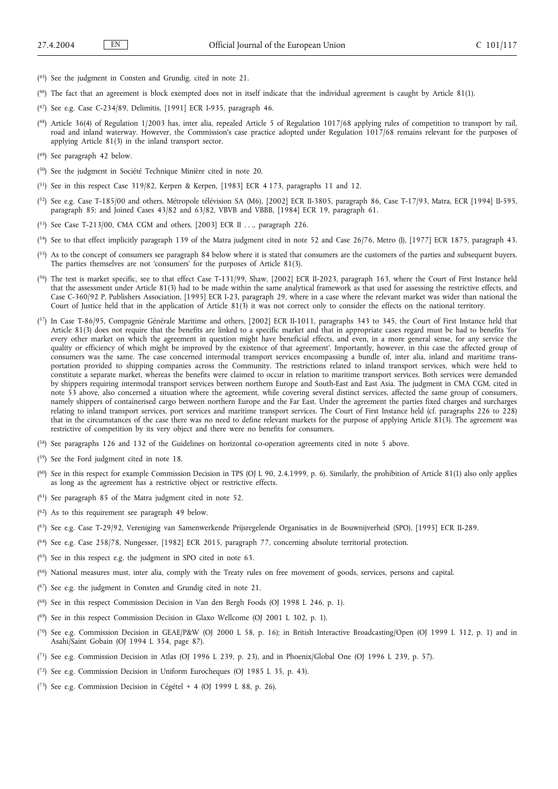- ( 45) See the judgment in Consten and Grundig, cited in note 21.
- ( 46) The fact that an agreement is block exempted does not in itself indicate that the individual agreement is caught by Article 81(1).
- ( 47) See e.g. Case C-234/89, Delimitis, [1991] ECR I-935, paragraph 46.
- ( 48) Article 36(4) of Regulation 1/2003 has, inter alia, repealed Article 5 of Regulation 1017/68 applying rules of competition to transport by rail, road and inland waterway. However, the Commission's case practice adopted under Regulation 1017/68 remains relevant for the purposes of applying Article 81(3) in the inland transport sector.
- ( 49) See paragraph 42 below.
- ( 50) See the judgment in Société Technique Minière cited in note 20.
- $(51)$  See in this respect Case 319/82, Kerpen & Kerpen, [1983] ECR 4 173, paragraphs 11 and 12.
- $^{52}$ ) See e.g. Case T-185/00 and others, Métropole télévision SA (M6), [2002] ECR II-3805, paragraph 86, Case T-17/93, Matra, ECR [1994] II-595, paragraph 85; and Joined Cases 43/82 and 63/82, VBVB and VBBB, [1984] ECR 19, paragraph 61.
- ( 53) See Case T-213/00, CMA CGM and others, [2003] ECR II . . ., paragraph 226.
- $^{54}$ ) See to that effect implicitly paragraph 139 of the Matra judgment cited in note 52 and Case 26/76, Metro (I), [1977] ECR 1875, paragraph 43.
- (<sup>55</sup>) As to the concept of consumers see paragraph 84 below where it is stated that consumers are the customers of the parties and subsequent buyers. The parties themselves are not 'consumers' for the purposes of Article 81(3).
- $(56)$  The test is market specific, see to that effect Case T-131/99, Shaw, [2002] ECR II-2023, paragraph 163, where the Court of First Instance held that the assessment under Article 81(3) had to be made within the same analytical framework as that used for assessing the restrictive effects, and Case C-360/92 P, Publishers Association, [1995] ECR I-23, paragraph 29, where in a case where the relevant market was wider than national the Court of Justice held that in the application of Article 81(3) it was not correct only to consider the effects on the national territory.
- $(57)$  In Case T-86/95, Compagnie Générale Maritime and others, [2002] ECR II-1011, paragraphs 343 to 345, the Court of First Instance held that Article 81(3) does not require that the benefits are linked to a specific market and that in appropriate cases regard must be had to benefits 'for every other market on which the agreement in question might have beneficial effects, and even, in a more general sense, for any service the quality or efficiency of which might be improved by the existence of that agreement'. Importantly, however, in this case the affected group of consumers was the same. The case concerned intermodal transport services encompassing a bundle of, inter alia, inland and maritime transportation provided to shipping companies across the Community. The restrictions related to inland transport services, which were held to constitute a separate market, whereas the benefits were claimed to occur in relation to maritime transport services. Both services were demanded by shippers requiring intermodal transport services between northern Europe and South-East and East Asia. The judgment in CMA CGM, cited in note 53 above, also concerned a situation where the agreement, while covering several distinct services, affected the same group of consumers, namely shippers of containerised cargo between northern Europe and the Far East. Under the agreement the parties fixed charges and surcharges relating to inland transport services, port services and maritime transport services. The Court of First Instance held (cf. paragraphs 226 to 228) that in the circumstances of the case there was no need to define relevant markets for the purpose of applying Article 81(3). The agreement was restrictive of competition by its very object and there were no benefits for consumers.
- $^{58}$ ) See paragraphs 126 and 132 of the Guidelines on horizontal co-operation agreements cited in note 5 above.
- ( 59) See the Ford judgment cited in note 18.
- ( 60) See in this respect for example Commission Decision in TPS (OJ L 90, 2.4.1999, p. 6). Similarly, the prohibition of Article 81(1) also only applies as long as the agreement has a restrictive object or restrictive effects.
- ( 61) See paragraph 85 of the Matra judgment cited in note 52.
- ( 62) As to this requirement see paragraph 49 below.
- ( 63) See e.g. Case T-29/92, Vereniging van Samenwerkende Prijsregelende Organisaties in de Bouwnijverheid (SPO), [1995] ECR II-289.
- ( 64) See e.g. Case 258/78, Nungesser, [1982] ECR 2015, paragraph 77, concerning absolute territorial protection.
- ( 65) See in this respect e.g. the judgment in SPO cited in note 63.
- ( 66) National measures must, inter alia, comply with the Treaty rules on free movement of goods, services, persons and capital.
- ( 67) See e.g. the judgment in Consten and Grundig cited in note 21.
- ( 68) See in this respect Commission Decision in Van den Bergh Foods (OJ 1998 L 246, p. 1).
- ( 69) See in this respect Commission Decision in Glaxo Wellcome (OJ 2001 L 302, p. 1).
- $(70)$  See e.g. Commission Decision in GEAE/P&W (OJ 2000 L 58, p. 16); in British Interactive Broadcasting/Open (OJ 1999 L 312, p. 1) and in Asahi/Saint Gobain (OJ 1994 L 354, page 87).
- $\binom{71}{1}$  See e.g. Commission Decision in Atlas (OJ 1996 L 239, p. 23), and in Phoenix/Global One (OJ 1996 L 239, p. 57).
- ( 72) See e.g. Commission Decision in Uniform Eurocheques (OJ 1985 L 35, p. 43).
- $(73)$  See e.g. Commission Decision in Cégétel + 4 (OJ 1999 L 88, p. 26).